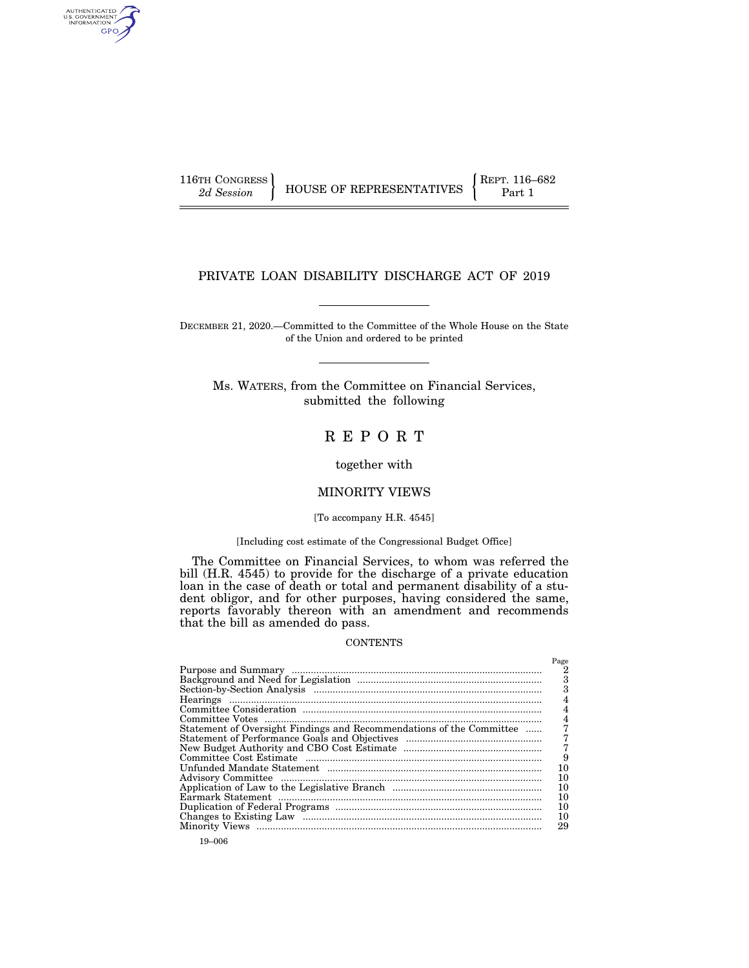AUTHENTICATED<br>U.S. GOVERNMENT<br>INFORMATION GPO

116TH CONGRESS **REPRESENTATIVES** REPRESENTATIVES **Part 1** 

## PRIVATE LOAN DISABILITY DISCHARGE ACT OF 2019

DECEMBER 21, 2020.—Committed to the Committee of the Whole House on the State of the Union and ordered to be printed

Ms. WATERS, from the Committee on Financial Services, submitted the following

# R E P O R T

together with

### MINORITY VIEWS

#### [To accompany H.R. 4545]

#### [Including cost estimate of the Congressional Budget Office]

The Committee on Financial Services, to whom was referred the bill (H.R. 4545) to provide for the discharge of a private education loan in the case of death or total and permanent disability of a student obligor, and for other purposes, having considered the same, reports favorably thereon with an amendment and recommends that the bill as amended do pass.

#### **CONTENTS**

|                                                                      | Page |
|----------------------------------------------------------------------|------|
|                                                                      | 2    |
|                                                                      | 3    |
|                                                                      | з    |
|                                                                      |      |
|                                                                      |      |
|                                                                      |      |
| Statement of Oversight Findings and Recommendations of the Committee |      |
|                                                                      | 7    |
|                                                                      |      |
|                                                                      | 9    |
|                                                                      | 10   |
|                                                                      | 10   |
|                                                                      | 10   |
|                                                                      | 10   |
|                                                                      | 10   |
|                                                                      | 10   |
|                                                                      | 29   |
|                                                                      |      |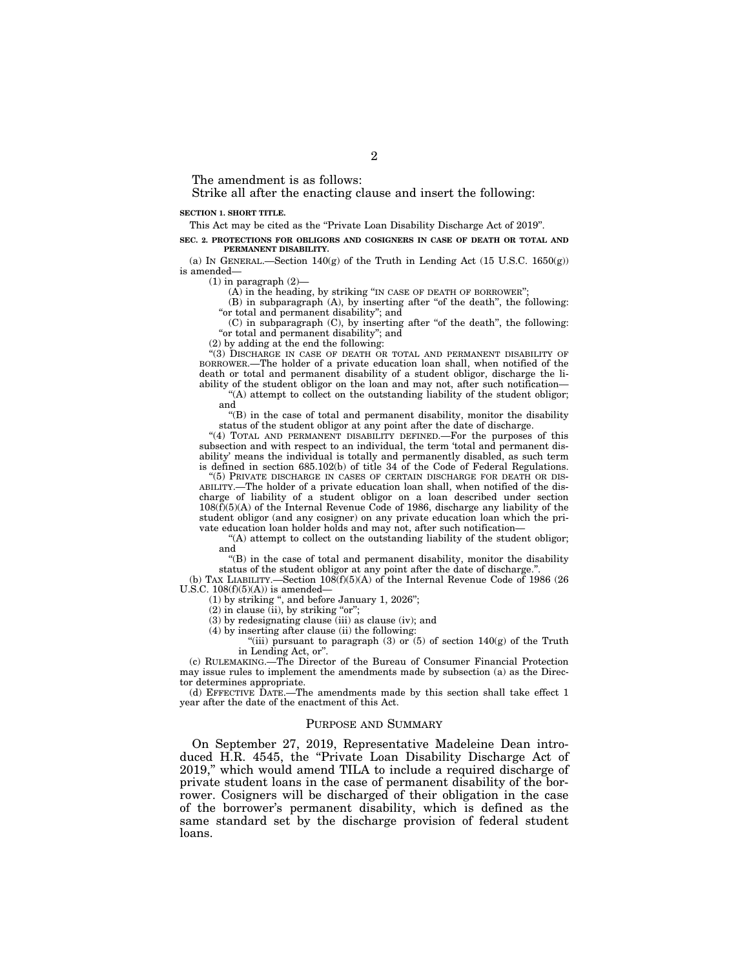The amendment is as follows:

Strike all after the enacting clause and insert the following:

**SECTION 1. SHORT TITLE.** 

This Act may be cited as the "Private Loan Disability Discharge Act of 2019".

**SEC. 2. PROTECTIONS FOR OBLIGORS AND COSIGNERS IN CASE OF DEATH OR TOTAL AND PERMANENT DISABILITY.** 

(a) IN GENERAL.—Section  $140(g)$  of the Truth in Lending Act (15 U.S.C. 1650(g)) is amended—

 $(1)$  in paragraph  $(2)$ -

(A) in the heading, by striking ''IN CASE OF DEATH OF BORROWER'';

(B) in subparagraph (A), by inserting after "of the death", the following: "or total and permanent disability"; and

(C) in subparagraph (C), by inserting after ''of the death'', the following: "or total and permanent disability"; and

(2) by adding at the end the following:

''(3) DISCHARGE IN CASE OF DEATH OR TOTAL AND PERMANENT DISABILITY OF BORROWER.—The holder of a private education loan shall, when notified of the death or total and permanent disability of a student obligor, discharge the liability of the student obligor on the loan and may not, after such notification—

"(A) attempt to collect on the outstanding liability of the student obligor; and

''(B) in the case of total and permanent disability, monitor the disability status of the student obligor at any point after the date of discharge.

"(4) TOTAL AND PERMANENT DISABILITY DEFINED.—For the purposes of this subsection and with respect to an individual, the term 'total and permanent disability' means the individual is totally and permanently disabled, as such term is defined in section 685.102(b) of title 34 of the Code of Federal Regulations.

''(5) PRIVATE DISCHARGE IN CASES OF CERTAIN DISCHARGE FOR DEATH OR DIS-ABILITY.—The holder of a private education loan shall, when notified of the discharge of liability of a student obligor on a loan described under section  $108(f)(5)(A)$  of the Internal Revenue Code of 1986, discharge any liability of the student obligor (and any cosigner) on any private education loan which the private education loan holder holds and may not, after such notification—

"(A) attempt to collect on the outstanding liability of the student obligor; and

''(B) in the case of total and permanent disability, monitor the disability status of the student obligor at any point after the date of discharge.''.

(b) TAX LIABILITY.—Section  $108(f)(5)(A)$  of the Internal Revenue Code of 1986 (26 U.S.C.  $108(f)(5)(A)$ ) is amended-

(1) by striking '', and before January 1, 2026'';

 $(2)$  in clause (ii), by striking "or";

(3) by redesignating clause (iii) as clause (iv); and

(4) by inserting after clause (ii) the following:

"(iii) pursuant to paragraph (3) or  $(5)$  of section 140(g) of the Truth in Lending Act, or''.

(c) RULEMAKING.—The Director of the Bureau of Consumer Financial Protection may issue rules to implement the amendments made by subsection (a) as the Director determines appropriate.

(d) EFFECTIVE DATE.—The amendments made by this section shall take effect 1 year after the date of the enactment of this Act.

#### PURPOSE AND SUMMARY

On September 27, 2019, Representative Madeleine Dean introduced H.R. 4545, the "Private Loan Disability Discharge Act of 2019,'' which would amend TILA to include a required discharge of private student loans in the case of permanent disability of the borrower. Cosigners will be discharged of their obligation in the case of the borrower's permanent disability, which is defined as the same standard set by the discharge provision of federal student loans.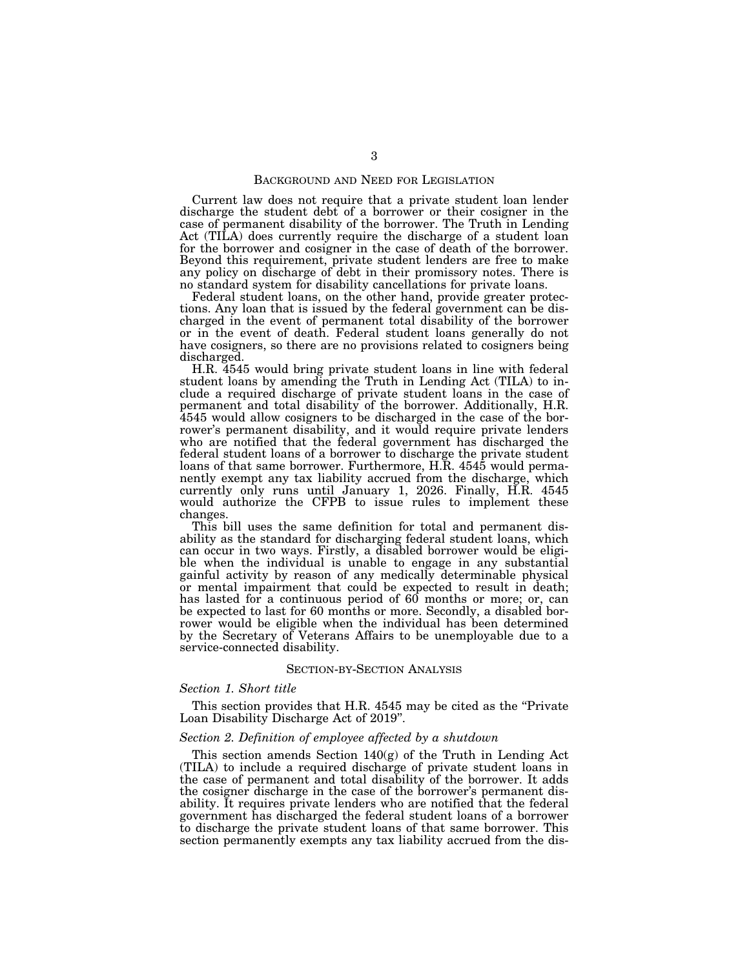#### BACKGROUND AND NEED FOR LEGISLATION

Current law does not require that a private student loan lender discharge the student debt of a borrower or their cosigner in the case of permanent disability of the borrower. The Truth in Lending Act (TILA) does currently require the discharge of a student loan for the borrower and cosigner in the case of death of the borrower. Beyond this requirement, private student lenders are free to make any policy on discharge of debt in their promissory notes. There is no standard system for disability cancellations for private loans.

Federal student loans, on the other hand, provide greater protections. Any loan that is issued by the federal government can be discharged in the event of permanent total disability of the borrower or in the event of death. Federal student loans generally do not have cosigners, so there are no provisions related to cosigners being discharged.

H.R. 4545 would bring private student loans in line with federal student loans by amending the Truth in Lending Act (TILA) to include a required discharge of private student loans in the case of permanent and total disability of the borrower. Additionally, H.R. 4545 would allow cosigners to be discharged in the case of the borrower's permanent disability, and it would require private lenders who are notified that the federal government has discharged the federal student loans of a borrower to discharge the private student loans of that same borrower. Furthermore, H.R. 4545 would permanently exempt any tax liability accrued from the discharge, which currently only runs until January 1, 2026. Finally, H.R. 4545 would authorize the CFPB to issue rules to implement these changes.

This bill uses the same definition for total and permanent disability as the standard for discharging federal student loans, which can occur in two ways. Firstly, a disabled borrower would be eligible when the individual is unable to engage in any substantial gainful activity by reason of any medically determinable physical or mental impairment that could be expected to result in death; has lasted for a continuous period of 60 months or more; or, can be expected to last for 60 months or more. Secondly, a disabled borrower would be eligible when the individual has been determined by the Secretary of Veterans Affairs to be unemployable due to a service-connected disability.

#### SECTION-BY-SECTION ANALYSIS

#### *Section 1. Short title*

This section provides that H.R. 4545 may be cited as the "Private" Loan Disability Discharge Act of 2019''.

#### *Section 2. Definition of employee affected by a shutdown*

This section amends Section  $140(g)$  of the Truth in Lending Act (TILA) to include a required discharge of private student loans in the case of permanent and total disability of the borrower. It adds the cosigner discharge in the case of the borrower's permanent disability. It requires private lenders who are notified that the federal government has discharged the federal student loans of a borrower to discharge the private student loans of that same borrower. This section permanently exempts any tax liability accrued from the dis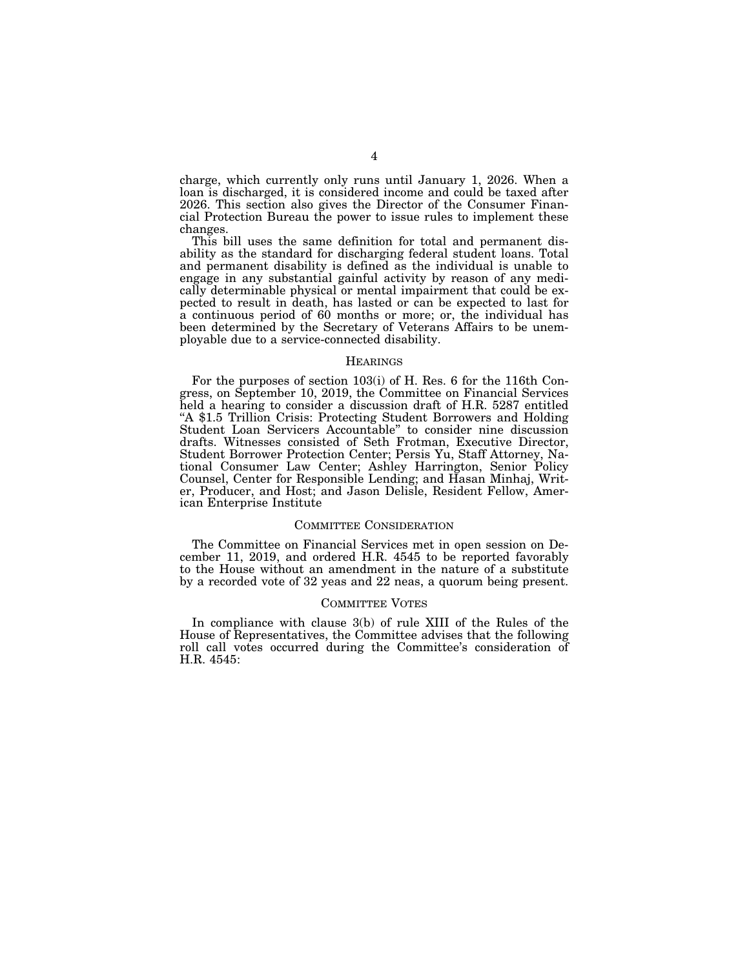charge, which currently only runs until January 1, 2026. When a loan is discharged, it is considered income and could be taxed after 2026. This section also gives the Director of the Consumer Financial Protection Bureau the power to issue rules to implement these changes.

This bill uses the same definition for total and permanent disability as the standard for discharging federal student loans. Total and permanent disability is defined as the individual is unable to engage in any substantial gainful activity by reason of any medically determinable physical or mental impairment that could be expected to result in death, has lasted or can be expected to last for a continuous period of 60 months or more; or, the individual has been determined by the Secretary of Veterans Affairs to be unemployable due to a service-connected disability.

#### **HEARINGS**

For the purposes of section 103(i) of H. Res. 6 for the 116th Congress, on September 10, 2019, the Committee on Financial Services held a hearing to consider a discussion draft of H.R. 5287 entitled ''A \$1.5 Trillion Crisis: Protecting Student Borrowers and Holding Student Loan Servicers Accountable'' to consider nine discussion drafts. Witnesses consisted of Seth Frotman, Executive Director, Student Borrower Protection Center; Persis Yu, Staff Attorney, National Consumer Law Center; Ashley Harrington, Senior Policy Counsel, Center for Responsible Lending; and Hasan Minhaj, Writer, Producer, and Host; and Jason Delisle, Resident Fellow, American Enterprise Institute

#### COMMITTEE CONSIDERATION

The Committee on Financial Services met in open session on December 11, 2019, and ordered H.R. 4545 to be reported favorably to the House without an amendment in the nature of a substitute by a recorded vote of 32 yeas and 22 neas, a quorum being present.

#### COMMITTEE VOTES

In compliance with clause 3(b) of rule XIII of the Rules of the House of Representatives, the Committee advises that the following roll call votes occurred during the Committee's consideration of H.R. 4545: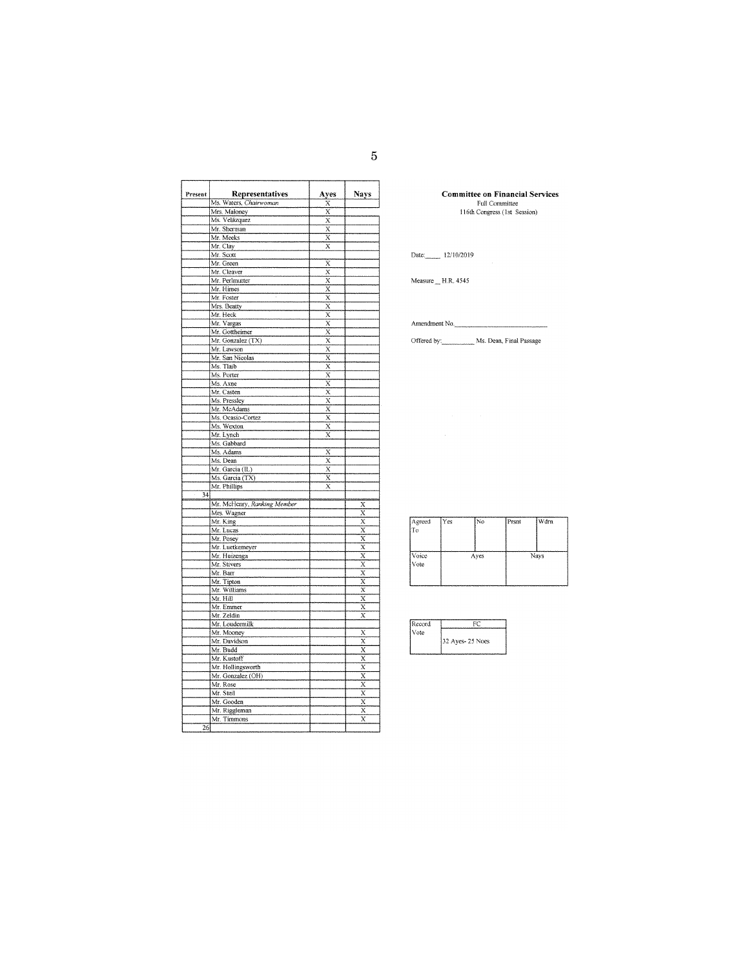| Present        | Representatives             | Ayes                    | Nays                    |  |  |
|----------------|-----------------------------|-------------------------|-------------------------|--|--|
|                | Ms. Waters, Chairwoman      | Х                       |                         |  |  |
|                | Mrs. Maloney                | $\overline{\mathbf{x}}$ |                         |  |  |
|                | Ms. Velázquez               | X                       |                         |  |  |
|                | Mr. Sherman                 | X                       |                         |  |  |
|                | Mr. Meeks                   | X                       |                         |  |  |
|                | Mr. Clay                    | X                       |                         |  |  |
|                | Mr. Scott                   |                         |                         |  |  |
|                | Mr. Green                   | X                       |                         |  |  |
|                | Mr. Cleaver                 | X                       |                         |  |  |
|                | Mr. Perlmutter              | X                       |                         |  |  |
|                | Mr. Himes                   | $\overline{\mathbf{x}}$ |                         |  |  |
|                | Mr. Foster                  | X                       |                         |  |  |
|                | Mrs. Beatty                 | X                       |                         |  |  |
|                | Mr. Heck                    | X                       |                         |  |  |
|                | Mr. Vargas                  | X                       |                         |  |  |
|                | Mr. Gottheimer              | X                       |                         |  |  |
|                | Mr. Gonzalez (TX)           | X                       |                         |  |  |
|                | Mr. Lawson                  | X                       |                         |  |  |
|                | Mr. San Nicolas             | X                       |                         |  |  |
|                | Ms. Tlaib                   | Ä                       |                         |  |  |
|                | Ms. Porter                  | X                       |                         |  |  |
|                | Ms. Axne                    | X                       |                         |  |  |
|                | Mr. Casten                  | $\overline{\mathbf{x}}$ |                         |  |  |
|                | Ms. Pressley                | $\overline{\mathbf{x}}$ |                         |  |  |
|                | Mr. McAdams                 | $\overline{\mathbf{x}}$ |                         |  |  |
|                | Ms. Ocasio-Cortez           | X                       |                         |  |  |
|                | Ms. Wexton                  | X                       |                         |  |  |
|                | Mr. Lynch                   | X                       |                         |  |  |
|                | Ms. Gabbard                 |                         |                         |  |  |
|                | Ms. Adams                   | X                       |                         |  |  |
|                | Ms. Dean                    | X                       |                         |  |  |
|                | Mr. Garcia (IL)             | Х                       |                         |  |  |
|                | Ms. Garcia (TX)             | X                       |                         |  |  |
|                | Mr. Phillips                | $\overline{\mathsf{x}}$ |                         |  |  |
| $\frac{1}{34}$ |                             |                         |                         |  |  |
|                | Mr. McHenry, Ranking Member |                         | Х                       |  |  |
|                | Mrs. Wagner                 |                         | $\overline{\mathbf{x}}$ |  |  |
|                | Mr. King                    |                         | $\overline{\mathbf{x}}$ |  |  |
|                | Mr. Lucas                   |                         | $\bar{\mathbf{x}}$      |  |  |
|                | Mr. Posey                   |                         | $\overline{x}$          |  |  |
|                | Mr. Luetkemeyer             |                         | $\overline{\mathbf{x}}$ |  |  |
|                | Mr. Huizenga                |                         | $\overline{\mathbf{x}}$ |  |  |
|                | Mr. Stivers                 |                         | χ                       |  |  |
|                | Mr. Barr                    |                         | $\overline{\mathbf{x}}$ |  |  |
|                | Mr. Tipton                  |                         | X                       |  |  |
|                | Mr. Williams                |                         | $\overline{\mathbf{x}}$ |  |  |
|                | Mr. Hill                    |                         | $\bar{x}$               |  |  |
|                | Mr. Emmer                   |                         | $\overline{\mathrm{x}}$ |  |  |
|                | Mr. Zeldin                  |                         | $\overline{x}$          |  |  |
|                | Mr. Loudermilk              |                         |                         |  |  |
|                | Mr. Mooney                  |                         | X                       |  |  |
|                | Mr. Davidson                |                         | X                       |  |  |
|                | Mr. Budd                    |                         | X                       |  |  |
|                | Mr. Kustoff                 |                         | $\overline{\mathbf{x}}$ |  |  |
|                | Mr. Hollingsworth           |                         | $\overline{\mathbf{x}}$ |  |  |
|                | Mr. Gonzalez (OH)           |                         | $\overline{x}$          |  |  |
|                | Mr. Rose                    |                         | $\overline{x}$          |  |  |
|                |                             |                         |                         |  |  |
|                | Mr. Steil                   |                         | $\overline{\mathbf{x}}$ |  |  |
|                | Mr. Gooden                  |                         | $\overline{\mathbf{x}}$ |  |  |
|                | Mr. Riggleman               |                         | $\overline{\mathbf{x}}$ |  |  |
|                | Mr. Timmons                 |                         | X                       |  |  |
| 26             |                             |                         |                         |  |  |

**Committee on Financial Services**<br>Full Committee<br>116th Congress (1st Session)

Date: 12/10/2019

Measure  $_m$  H.R. 4545

Amendment No.

Offered by: Ms. Dean, Final Passage

 $\fbox{ \begin{minipage}{0.5\linewidth} \hline \text{Agreed} \\ \text{To} \end{minipage} }$ Wdrn Yes  $\overline{\text{No}}$ Prsnt Voice<br>Voice  $Ayes$ Nays

| Record |                  |
|--------|------------------|
| Vote   |                  |
|        | 32 Ayes- 25 Noes |
|        |                  |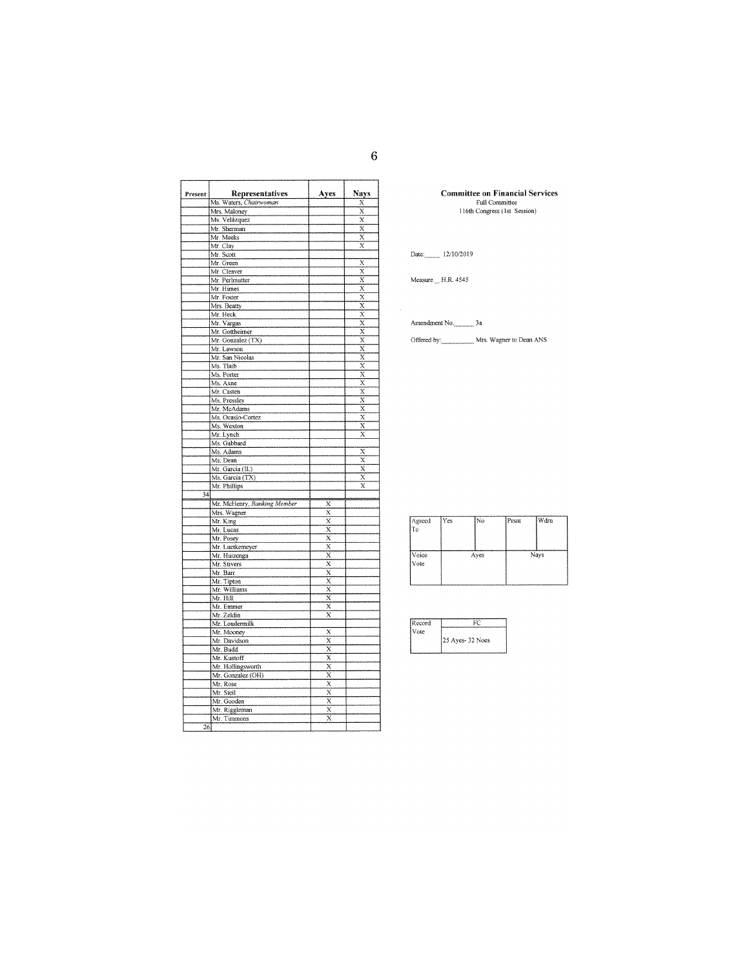| Fresent | Representatives             | Ayes                                | Nays                    |
|---------|-----------------------------|-------------------------------------|-------------------------|
|         | Ms. Waters, Chairwoman      |                                     | X                       |
|         | Mrs. Maloney                |                                     | $\overline{\mathbf{x}}$ |
|         | Ms. Velázquez               |                                     | $\overline{\mathbf{x}}$ |
|         | Mr. Sherman                 |                                     | $\overline{\mathbf{x}}$ |
|         | Mr. Meeks                   |                                     | $\overline{\mathbf{x}}$ |
|         | Mr. Clay                    |                                     | $\overline{\mathbf{x}}$ |
|         | Mr. Scott                   |                                     |                         |
|         | Mr. Green                   |                                     | X                       |
|         | Mr. Cleaver                 |                                     | X                       |
|         | Mr. Perlmutter              |                                     | $\overline{\mathbf{x}}$ |
|         | Mr. Himes                   |                                     | $\overline{x}$          |
|         | Mr. Foster                  |                                     | $\bar{\mathbf{x}}$      |
|         | Mrs. Beatty                 |                                     | ÿ                       |
|         | Mr. Heck                    |                                     | $\overline{\mathbf{x}}$ |
|         | Mr. Vargas                  |                                     | $\overline{\mathbf{x}}$ |
|         | Mr. Gottheimer              |                                     | $\overline{\mathbf{x}}$ |
|         | Mr. Gonzalez (TX)           |                                     | Χ                       |
|         | Mr. Lawson                  |                                     | $\overline{\mathbf{x}}$ |
|         | Mr. San Nicolas             |                                     | $\overline{\mathbf{x}}$ |
|         | Ms. Tlaib                   |                                     | X                       |
|         | Ms. Porter                  |                                     | $\bar{x}$               |
|         | Ms. Axne                    |                                     | Χ                       |
|         | Mr. Casten                  |                                     | $\overline{x}$          |
|         | Ms. Pressley                |                                     | $\overline{\mathrm{x}}$ |
|         | Mr. McAdams                 |                                     | $\overline{\mathbf{x}}$ |
|         | Ms. Ocasio-Cortez           |                                     | X                       |
|         | Ms. Wexton                  |                                     | X                       |
|         | Mr. Lynch                   |                                     | $\overline{\mathbf{x}}$ |
|         | Ms. Gabbard                 |                                     |                         |
|         | Ms. Adams                   |                                     |                         |
|         | Ms. Dean                    |                                     | $\overline{\textbf{x}}$ |
|         | Mr. Garcia (IL)             |                                     | $\bar{\text{x}}$        |
|         | Ms. Garcia (TX)             |                                     | $\overline{\mathbf{x}}$ |
|         | Mr. Phillips                |                                     | X                       |
| 34      |                             |                                     |                         |
|         | Mr. McHenry, Ranking Member | Х                                   |                         |
|         | Mrs. Wagner                 | $\overline{\text{x}}$               |                         |
|         | Mr. King                    | $\bar{x}$                           |                         |
|         | Mr. Lucas                   | $\overline{\mathbf{x}}$             |                         |
|         | Mr. Posey                   | X                                   |                         |
|         | Mr. Luetkemeyer             | x                                   |                         |
|         | Mr. Huizenga                | $\bar{\mathrm{x}}$                  |                         |
|         | Mr. Stivers                 | $\bar{x}$                           |                         |
|         | Mr. Barr                    | $\overline{\mathbf{x}}$             |                         |
|         | Mr. Tipton                  | $\bar{x}$                           |                         |
|         | Mr. Williams                | $\overline{\mathbf{x}}$             |                         |
|         | Mr. Hill                    | $\bar{\mathrm{x}}$                  |                         |
|         | Mr. Emmer                   | x                                   |                         |
|         | Mr. Zeldin                  | $\overline{\mathbf{x}}$             |                         |
|         | Mr. Loudermilk              |                                     |                         |
|         | Mr. Mooney                  | X                                   |                         |
|         | Mr. Davidson                | $\overline{\mathbf{x}}$             |                         |
|         | Mr. Budd                    |                                     |                         |
|         | Mr. Kustoff                 | $\frac{\overline{x}}{\overline{x}}$ |                         |
|         | Mr. Hollingsworth           | $\overline{\mathbf{x}}$             |                         |
|         | Mr. Gonzalez (OH)           | Χ                                   |                         |
|         | Mr. Rose                    | $\overline{x}$                      |                         |
|         | Mr. Steil                   | $\overline{\mathbf{x}}$             |                         |
|         | Mr. Gooden                  | $\overline{\mathbf{x}}$             |                         |
|         | Mr. Riggleman               | $\overline{\mathrm{x}}$             |                         |
|         | Mr. Timmons                 | $\overline{\mathbf{x}}$             |                         |
| 26      |                             |                                     |                         |
|         |                             |                                     |                         |

**Committee on Financial Services**<br>Full Committee<br>116th Congress (1st Session)

## Date: 12/10/2019

Measure  $\_$  H.R. 4545

Amendment No.<br>23

Offered by: Mrs. Wagner to Dean ANS

| Agreed<br>'To | l Yes | INo  | Prsnt | i Wdrn |
|---------------|-------|------|-------|--------|
| Voice<br>Vote |       | Ayes |       | Navs   |

| Record |                 |
|--------|-----------------|
| Vote   |                 |
|        | 25 Ayes-32 Noes |
|        |                 |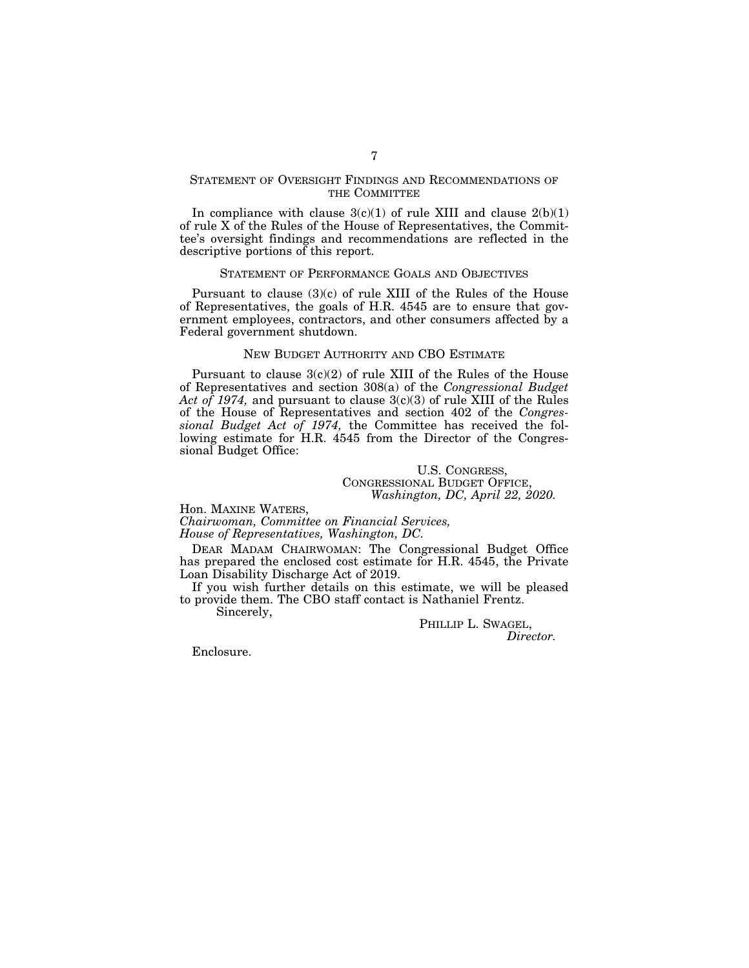## STATEMENT OF OVERSIGHT FINDINGS AND RECOMMENDATIONS OF THE COMMITTEE

In compliance with clause  $3(c)(1)$  of rule XIII and clause  $2(b)(1)$ of rule X of the Rules of the House of Representatives, the Committee's oversight findings and recommendations are reflected in the descriptive portions of this report.

#### STATEMENT OF PERFORMANCE GOALS AND OBJECTIVES

Pursuant to clause  $(3)(c)$  of rule XIII of the Rules of the House of Representatives, the goals of H.R. 4545 are to ensure that government employees, contractors, and other consumers affected by a Federal government shutdown.

#### NEW BUDGET AUTHORITY AND CBO ESTIMATE

Pursuant to clause  $3(c)(2)$  of rule XIII of the Rules of the House of Representatives and section 308(a) of the *Congressional Budget Act of 1974,* and pursuant to clause 3(c)(3) of rule XIII of the Rules of the House of Representatives and section 402 of the *Congressional Budget Act of 1974,* the Committee has received the following estimate for H.R. 4545 from the Director of the Congressional Budget Office:

> U.S. CONGRESS, CONGRESSIONAL BUDGET OFFICE, *Washington, DC, April 22, 2020.*

Hon. MAXINE WATERS,

*Chairwoman, Committee on Financial Services, House of Representatives, Washington, DC.* 

DEAR MADAM CHAIRWOMAN: The Congressional Budget Office has prepared the enclosed cost estimate for H.R. 4545, the Private Loan Disability Discharge Act of 2019.

If you wish further details on this estimate, we will be pleased to provide them. The CBO staff contact is Nathaniel Frentz. Sincerely,

PHILLIP L. SWAGEL, *Director.* 

Enclosure.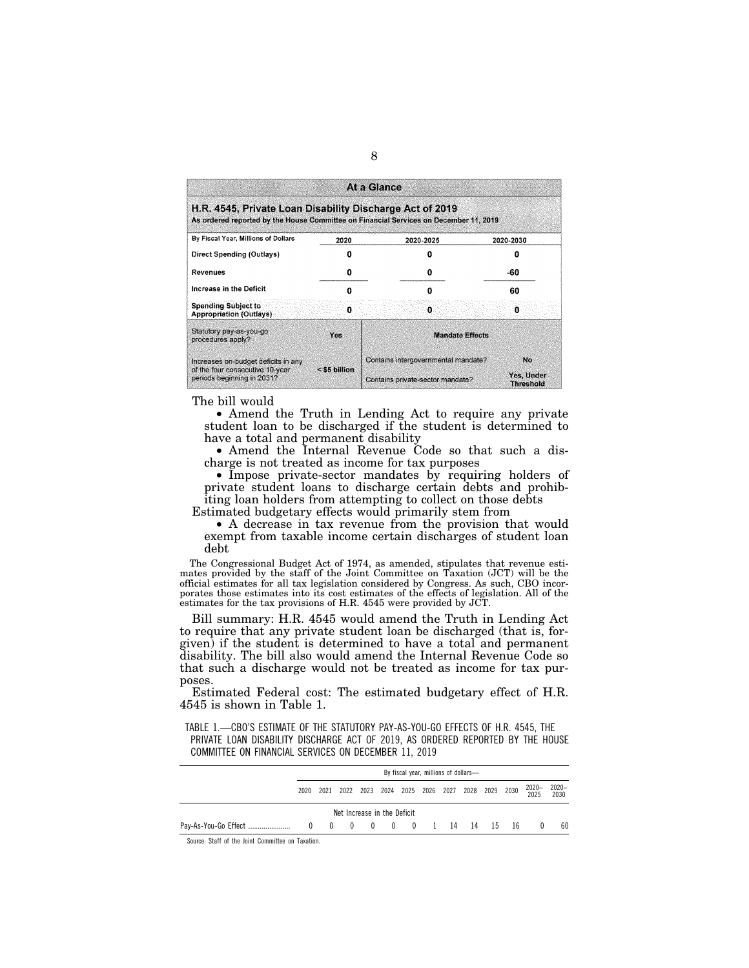| At a Glance                                                            |                 |                                                                                       |                                |  |  |  |  |  |  |  |
|------------------------------------------------------------------------|-----------------|---------------------------------------------------------------------------------------|--------------------------------|--|--|--|--|--|--|--|
| H.R. 4545, Private Loan Disability Discharge Act of 2019               |                 | As ordered reported by the House Committee on Financial Services on December 11, 2019 |                                |  |  |  |  |  |  |  |
| By Fiscal Year, Millions of Dollars                                    | 2020            | 2020-2025                                                                             | 2020-2030                      |  |  |  |  |  |  |  |
| Direct Spending (Outlays)                                              |                 |                                                                                       |                                |  |  |  |  |  |  |  |
| Revenues                                                               | Ω               |                                                                                       | -60                            |  |  |  |  |  |  |  |
| Increase in the Deficit                                                | Ω               | n                                                                                     | 60                             |  |  |  |  |  |  |  |
| <b>Spending Subject to</b><br><b>Appropriation (Outlays)</b>           | o               | 0                                                                                     | n                              |  |  |  |  |  |  |  |
| Statutory pay-as-you-go<br>procedures apply?                           | Yes             | <b>Mandate Effects</b>                                                                |                                |  |  |  |  |  |  |  |
| Increases on-budget deficits in any<br>of the four consecutive 10-year | $<$ \$5 billion | Contains intergovernmental mandate?                                                   | No.                            |  |  |  |  |  |  |  |
| periods beginning in 2031?                                             |                 | Contains private-sector mandate?                                                      | Yes, Under<br><b>Threshold</b> |  |  |  |  |  |  |  |

#### The bill would

• Amend the Truth in Lending Act to require any private student loan to be discharged if the student is determined to have a total and permanent disability

• Amend the Internal Revenue Code so that such a discharge is not treated as income for tax purposes

• Impose private-sector mandates by requiring holders of private student loans to discharge certain debts and prohibiting loan holders from attempting to collect on those debts

Estimated budgetary effects would primarily stem from

• A decrease in tax revenue from the provision that would exempt from taxable income certain discharges of student loan debt

The Congressional Budget Act of 1974, as amended, stipulates that revenue estimates provided by the staff of the Joint Committee on Taxation (JCT) will be the official estimates for all tax legislation considered by Congress. As such, CBO incorporates those estimates into its cost estimates of the effects of legislation. All of the estimates for the tax provisions of H.R. 4545 were provided by JCT.

Bill summary: H.R. 4545 would amend the Truth in Lending Act to require that any private student loan be discharged (that is, forgiven) if the student is determined to have a total and permanent disability. The bill also would amend the Internal Revenue Code so that such a discharge would not be treated as income for tax purposes.

Estimated Federal cost: The estimated budgetary effect of H.R. 4545 is shown in Table 1.

TABLE 1.—CBO'S ESTIMATE OF THE STATUTORY PAY-AS-YOU-GO EFFECTS OF H.R. 4545, THE PRIVATE LOAN DISABILITY DISCHARGE ACT OF 2019, AS ORDERED REPORTED BY THE HOUSE COMMITTEE ON FINANCIAL SERVICES ON DECEMBER 11, 2019

|                             | By fiscal year, millions of dollars- |  |  |  |  |  |  |  |  |                                                   |               |               |
|-----------------------------|--------------------------------------|--|--|--|--|--|--|--|--|---------------------------------------------------|---------------|---------------|
|                             | 2020                                 |  |  |  |  |  |  |  |  | 2021 2022 2023 2024 2025 2026 2027 2028 2029 2030 | 2020-<br>2025 | 2020-<br>2030 |
| Net Increase in the Deficit |                                      |  |  |  |  |  |  |  |  |                                                   |               |               |
| Pay-As-You-Go Effect        |                                      |  |  |  |  |  |  |  |  | 0 0 0 0 0 0 1 14 14 15 16                         |               | 60            |

Source: Staff of the Joint Committee on Taxation.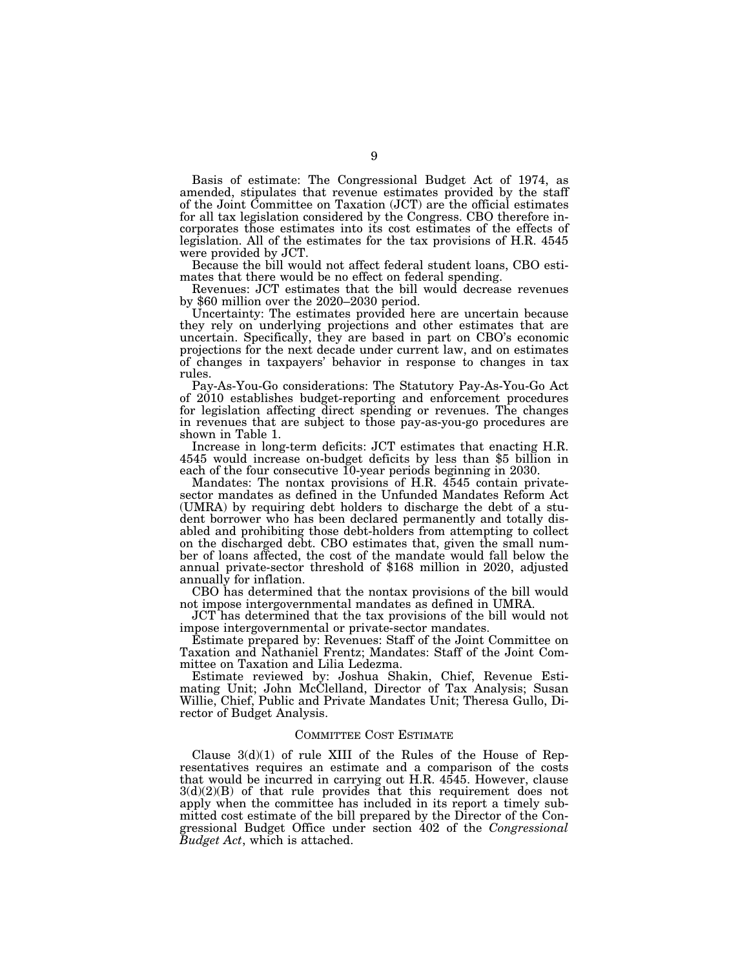Basis of estimate: The Congressional Budget Act of 1974, as amended, stipulates that revenue estimates provided by the staff of the Joint Committee on Taxation (JCT) are the official estimates for all tax legislation considered by the Congress. CBO therefore incorporates those estimates into its cost estimates of the effects of legislation. All of the estimates for the tax provisions of H.R. 4545 were provided by JCT.

Because the bill would not affect federal student loans, CBO estimates that there would be no effect on federal spending.

Revenues: JCT estimates that the bill would decrease revenues by \$60 million over the 2020–2030 period.

Uncertainty: The estimates provided here are uncertain because they rely on underlying projections and other estimates that are uncertain. Specifically, they are based in part on CBO's economic projections for the next decade under current law, and on estimates of changes in taxpayers' behavior in response to changes in tax rules.

Pay-As-You-Go considerations: The Statutory Pay-As-You-Go Act of 2010 establishes budget-reporting and enforcement procedures for legislation affecting direct spending or revenues. The changes in revenues that are subject to those pay-as-you-go procedures are shown in Table 1.

Increase in long-term deficits: JCT estimates that enacting H.R. 4545 would increase on-budget deficits by less than \$5 billion in each of the four consecutive 10-year periods beginning in 2030.

Mandates: The nontax provisions of H.R. 4545 contain privatesector mandates as defined in the Unfunded Mandates Reform Act (UMRA) by requiring debt holders to discharge the debt of a student borrower who has been declared permanently and totally disabled and prohibiting those debt-holders from attempting to collect on the discharged debt. CBO estimates that, given the small number of loans affected, the cost of the mandate would fall below the annual private-sector threshold of \$168 million in 2020, adjusted annually for inflation.

CBO has determined that the nontax provisions of the bill would not impose intergovernmental mandates as defined in UMRA.

JCT has determined that the tax provisions of the bill would not impose intergovernmental or private-sector mandates.

Estimate prepared by: Revenues: Staff of the Joint Committee on Taxation and Nathaniel Frentz; Mandates: Staff of the Joint Committee on Taxation and Lilia Ledezma.

Estimate reviewed by: Joshua Shakin, Chief, Revenue Estimating Unit; John McClelland, Director of Tax Analysis; Susan Willie, Chief, Public and Private Mandates Unit; Theresa Gullo, Director of Budget Analysis.

#### COMMITTEE COST ESTIMATE

Clause  $3(d)(1)$  of rule XIII of the Rules of the House of Representatives requires an estimate and a comparison of the costs that would be incurred in carrying out H.R. 4545. However, clause  $3(d)(2)(B)$  of that rule provides that this requirement does not apply when the committee has included in its report a timely submitted cost estimate of the bill prepared by the Director of the Congressional Budget Office under section 402 of the *Congressional Budget Act*, which is attached.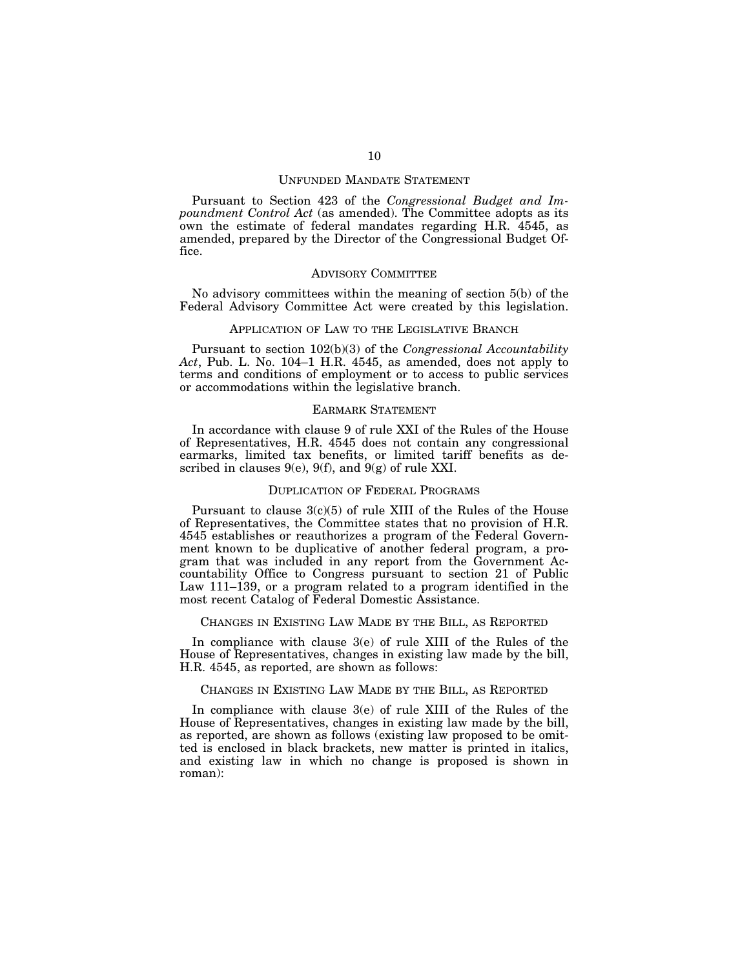#### UNFUNDED MANDATE STATEMENT

Pursuant to Section 423 of the *Congressional Budget and Impoundment Control Act* (as amended). The Committee adopts as its own the estimate of federal mandates regarding H.R. 4545, as amended, prepared by the Director of the Congressional Budget Office.

#### ADVISORY COMMITTEE

No advisory committees within the meaning of section 5(b) of the Federal Advisory Committee Act were created by this legislation.

## APPLICATION OF LAW TO THE LEGISLATIVE BRANCH

Pursuant to section 102(b)(3) of the *Congressional Accountability Act*, Pub. L. No. 104–1 H.R. 4545, as amended, does not apply to terms and conditions of employment or to access to public services or accommodations within the legislative branch.

### EARMARK STATEMENT

In accordance with clause 9 of rule XXI of the Rules of the House of Representatives, H.R. 4545 does not contain any congressional earmarks, limited tax benefits, or limited tariff benefits as described in clauses  $9(e)$ ,  $9(f)$ , and  $9(g)$  of rule XXI.

#### DUPLICATION OF FEDERAL PROGRAMS

Pursuant to clause  $3(c)(5)$  of rule XIII of the Rules of the House of Representatives, the Committee states that no provision of H.R. 4545 establishes or reauthorizes a program of the Federal Government known to be duplicative of another federal program, a program that was included in any report from the Government Accountability Office to Congress pursuant to section 21 of Public Law 111–139, or a program related to a program identified in the most recent Catalog of Federal Domestic Assistance.

#### CHANGES IN EXISTING LAW MADE BY THE BILL, AS REPORTED

In compliance with clause 3(e) of rule XIII of the Rules of the House of Representatives, changes in existing law made by the bill, H.R. 4545, as reported, are shown as follows:

## CHANGES IN EXISTING LAW MADE BY THE BILL, AS REPORTED

In compliance with clause 3(e) of rule XIII of the Rules of the House of Representatives, changes in existing law made by the bill, as reported, are shown as follows (existing law proposed to be omitted is enclosed in black brackets, new matter is printed in italics, and existing law in which no change is proposed is shown in roman):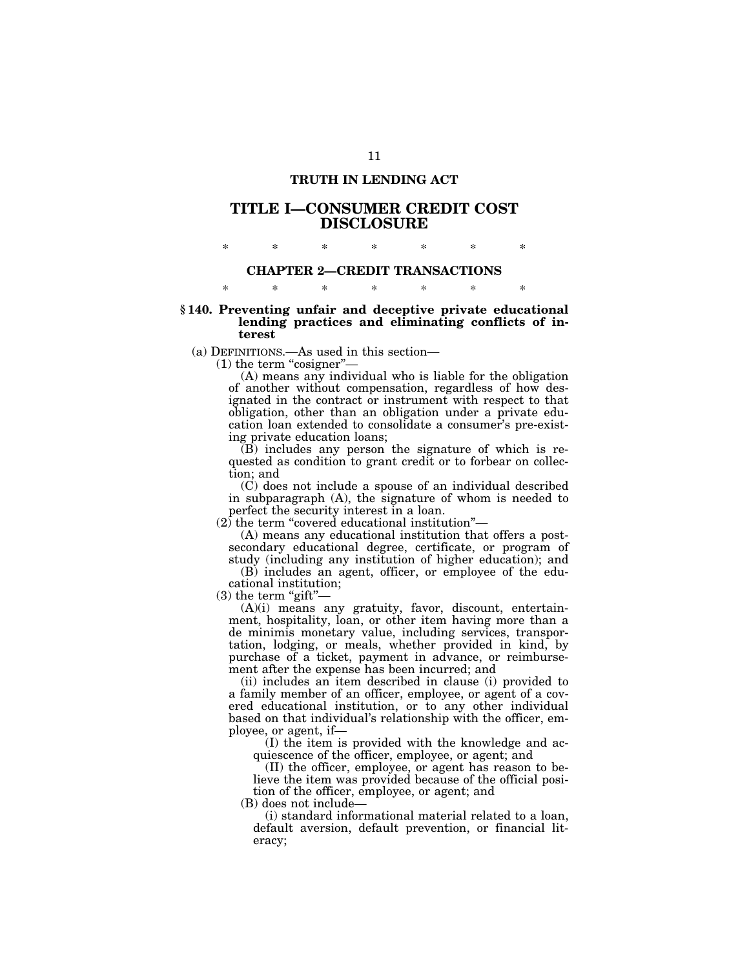## **TRUTH IN LENDING ACT**

## **TITLE I—CONSUMER CREDIT COST DISCLOSURE**

## \* \* \* \* \* \* \*

## **CHAPTER 2—CREDIT TRANSACTIONS**

## \* \* \* \* \* \* \*

### **§ 140. Preventing unfair and deceptive private educational lending practices and eliminating conflicts of interest**

(a) DEFINITIONS.—As used in this section—

 $(1)$  the term "cosigner"-

(A) means any individual who is liable for the obligation of another without compensation, regardless of how designated in the contract or instrument with respect to that obligation, other than an obligation under a private education loan extended to consolidate a consumer's pre-existing private education loans;

(B) includes any person the signature of which is requested as condition to grant credit or to forbear on collection; and

(C) does not include a spouse of an individual described in subparagraph (A), the signature of whom is needed to perfect the security interest in a loan.

 $(2)$  the term "covered educational institution"—

(A) means any educational institution that offers a postsecondary educational degree, certificate, or program of study (including any institution of higher education); and

(B) includes an agent, officer, or employee of the educational institution;

 $(3)$  the term "gift"-

(A)(i) means any gratuity, favor, discount, entertainment, hospitality, loan, or other item having more than a de minimis monetary value, including services, transportation, lodging, or meals, whether provided in kind, by purchase of a ticket, payment in advance, or reimbursement after the expense has been incurred; and

(ii) includes an item described in clause (i) provided to a family member of an officer, employee, or agent of a covered educational institution, or to any other individual based on that individual's relationship with the officer, employee, or agent, if—

(I) the item is provided with the knowledge and acquiescence of the officer, employee, or agent; and

(II) the officer, employee, or agent has reason to believe the item was provided because of the official position of the officer, employee, or agent; and

(B) does not include—

(i) standard informational material related to a loan, default aversion, default prevention, or financial literacy;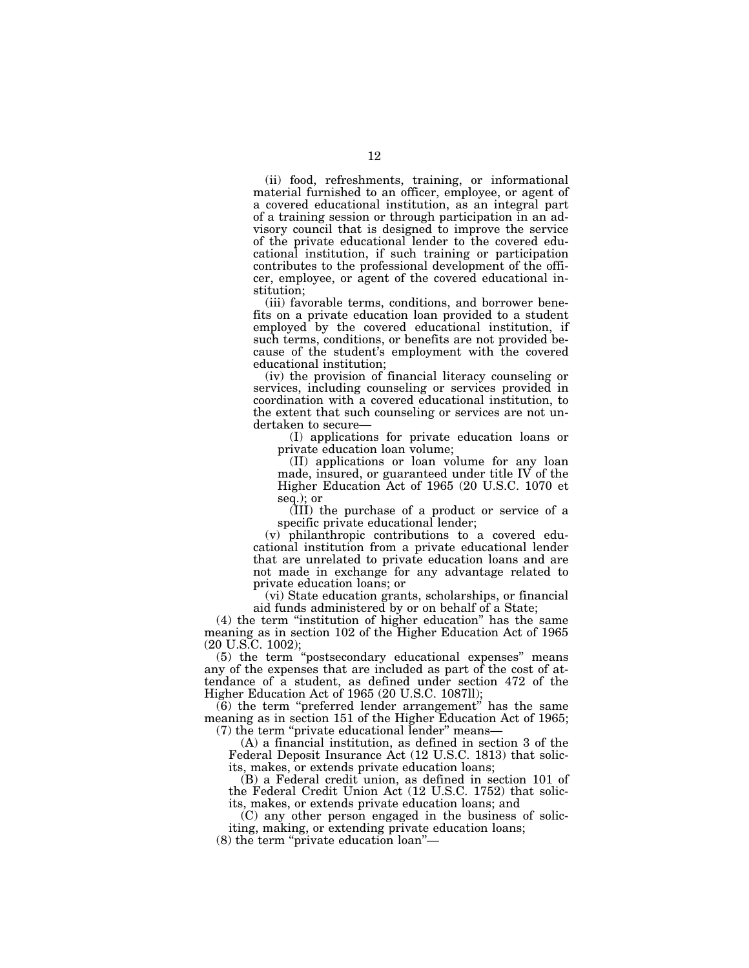(ii) food, refreshments, training, or informational material furnished to an officer, employee, or agent of a covered educational institution, as an integral part of a training session or through participation in an advisory council that is designed to improve the service of the private educational lender to the covered educational institution, if such training or participation contributes to the professional development of the officer, employee, or agent of the covered educational institution;

(iii) favorable terms, conditions, and borrower benefits on a private education loan provided to a student employed by the covered educational institution, if such terms, conditions, or benefits are not provided because of the student's employment with the covered educational institution;

(iv) the provision of financial literacy counseling or services, including counseling or services provided in coordination with a covered educational institution, to the extent that such counseling or services are not undertaken to secure—

(I) applications for private education loans or private education loan volume;

(II) applications or loan volume for any loan made, insured, or guaranteed under title IV of the Higher Education Act of 1965 (20 U.S.C. 1070 et seq.); or

(III) the purchase of a product or service of a specific private educational lender;

(v) philanthropic contributions to a covered educational institution from a private educational lender that are unrelated to private education loans and are not made in exchange for any advantage related to private education loans; or

(vi) State education grants, scholarships, or financial aid funds administered by or on behalf of a State;

(4) the term ''institution of higher education'' has the same meaning as in section 102 of the Higher Education Act of 1965 (20 U.S.C. 1002);

(5) the term ''postsecondary educational expenses'' means any of the expenses that are included as part of the cost of attendance of a student, as defined under section 472 of the Higher Education Act of 1965 (20 U.S.C. 1087ll);

(6) the term ''preferred lender arrangement'' has the same meaning as in section 151 of the Higher Education Act of 1965; (7) the term ''private educational lender'' means—

(A) a financial institution, as defined in section 3 of the Federal Deposit Insurance Act (12 U.S.C. 1813) that solicits, makes, or extends private education loans;

(B) a Federal credit union, as defined in section 101 of the Federal Credit Union Act (12 U.S.C. 1752) that solicits, makes, or extends private education loans; and

(C) any other person engaged in the business of soliciting, making, or extending private education loans;

(8) the term ''private education loan''—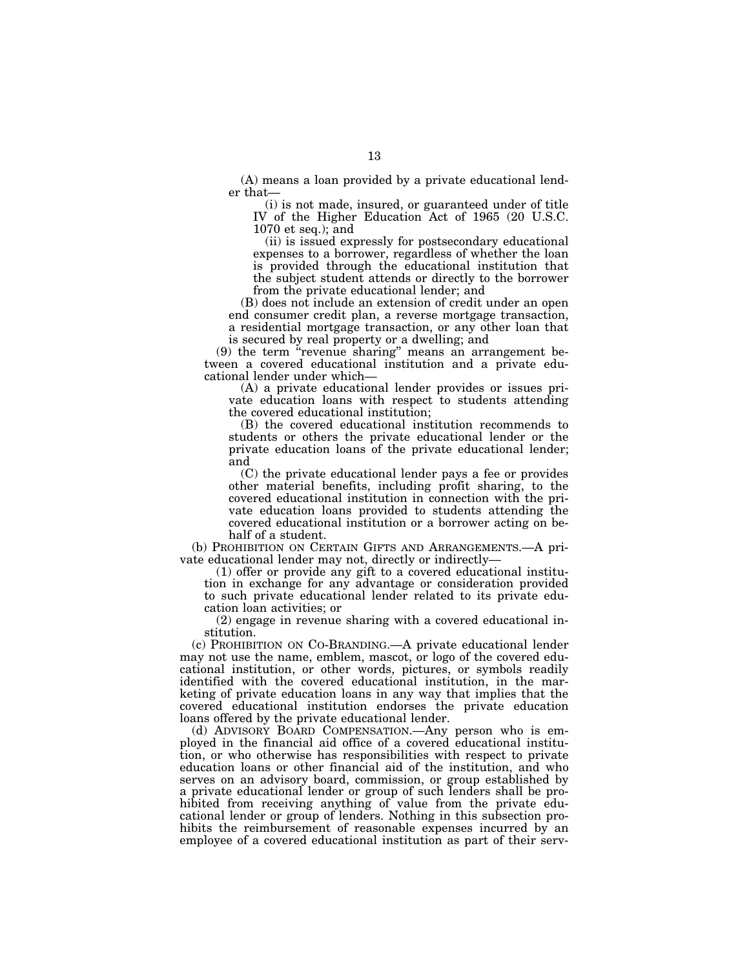(A) means a loan provided by a private educational lender that—

(i) is not made, insured, or guaranteed under of title IV of the Higher Education Act of 1965 (20 U.S.C. 1070 et seq.); and

(ii) is issued expressly for postsecondary educational expenses to a borrower, regardless of whether the loan is provided through the educational institution that the subject student attends or directly to the borrower from the private educational lender; and

(B) does not include an extension of credit under an open end consumer credit plan, a reverse mortgage transaction, a residential mortgage transaction, or any other loan that is secured by real property or a dwelling; and

(9) the term ''revenue sharing'' means an arrangement between a covered educational institution and a private educational lender under which—

(A) a private educational lender provides or issues private education loans with respect to students attending the covered educational institution;

(B) the covered educational institution recommends to students or others the private educational lender or the private education loans of the private educational lender; and

(C) the private educational lender pays a fee or provides other material benefits, including profit sharing, to the covered educational institution in connection with the private education loans provided to students attending the covered educational institution or a borrower acting on behalf of a student.

(b) PROHIBITION ON CERTAIN GIFTS AND ARRANGEMENTS.—A private educational lender may not, directly or indirectly—

(1) offer or provide any gift to a covered educational institution in exchange for any advantage or consideration provided to such private educational lender related to its private education loan activities; or

(2) engage in revenue sharing with a covered educational institution.

(c) PROHIBITION ON CO-BRANDING.—A private educational lender may not use the name, emblem, mascot, or logo of the covered educational institution, or other words, pictures, or symbols readily identified with the covered educational institution, in the marketing of private education loans in any way that implies that the covered educational institution endorses the private education loans offered by the private educational lender.

(d) ADVISORY BOARD COMPENSATION.—Any person who is employed in the financial aid office of a covered educational institution, or who otherwise has responsibilities with respect to private education loans or other financial aid of the institution, and who serves on an advisory board, commission, or group established by a private educational lender or group of such lenders shall be prohibited from receiving anything of value from the private educational lender or group of lenders. Nothing in this subsection prohibits the reimbursement of reasonable expenses incurred by an employee of a covered educational institution as part of their serv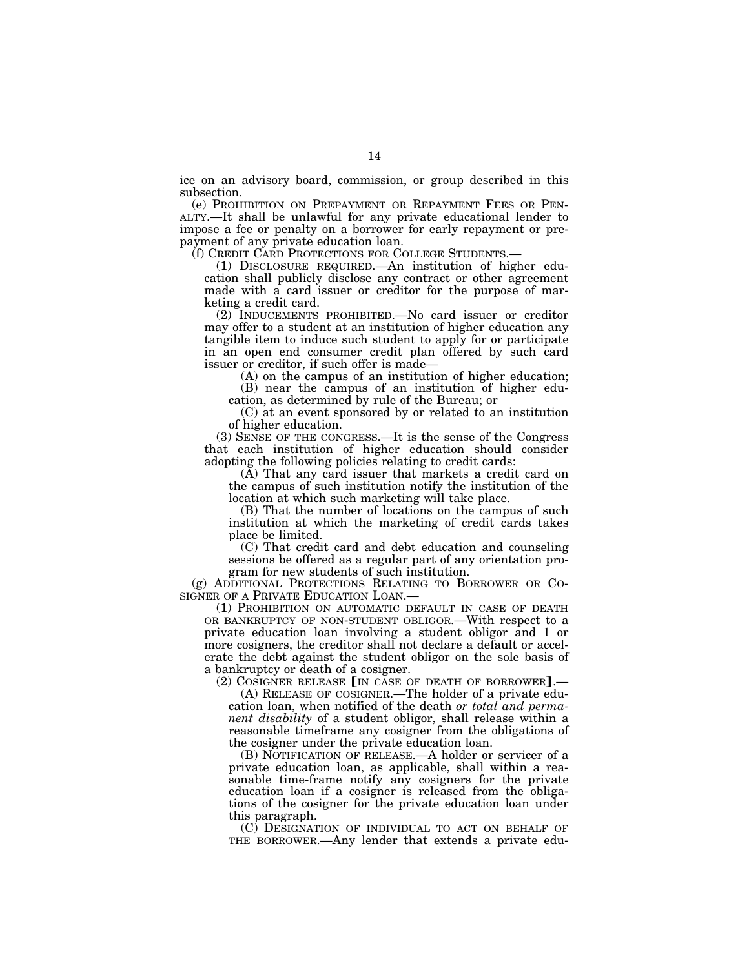ice on an advisory board, commission, or group described in this subsection.<br>
(e) PROHIBITION ON PREPAYMENT OR REPAYMENT FEES OR PEN-

ALTY.—It shall be unlawful for any private educational lender to impose a fee or penalty on a borrower for early repayment or prepayment of any private education loan.

(f) CREDIT CARD PROTECTIONS FOR COLLEGE STUDENTS.— (1) DISCLOSURE REQUIRED.—An institution of higher education shall publicly disclose any contract or other agreement made with a card issuer or creditor for the purpose of marketing a credit card.

(2) INDUCEMENTS PROHIBITED.—No card issuer or creditor may offer to a student at an institution of higher education any tangible item to induce such student to apply for or participate in an open end consumer credit plan offered by such card issuer or creditor, if such offer is made—

(A) on the campus of an institution of higher education;

(B) near the campus of an institution of higher edu-

cation, as determined by rule of the Bureau; or

(C) at an event sponsored by or related to an institution of higher education.

(3) SENSE OF THE CONGRESS.—It is the sense of the Congress that each institution of higher education should consider adopting the following policies relating to credit cards:

(A) That any card issuer that markets a credit card on the campus of such institution notify the institution of the location at which such marketing will take place.

(B) That the number of locations on the campus of such institution at which the marketing of credit cards takes place be limited.

(C) That credit card and debt education and counseling sessions be offered as a regular part of any orientation program for new students of such institution.

(g) ADDITIONAL PROTECTIONS RELATING TO BORROWER OR CO-SIGNER OF A PRIVATE EDUCATION LOAN.—

(1) PROHIBITION ON AUTOMATIC DEFAULT IN CASE OF DEATH OR BANKRUPTCY OF NON-STUDENT OBLIGOR.—With respect to a private education loan involving a student obligor and 1 or more cosigners, the creditor shall not declare a default or accelerate the debt against the student obligor on the sole basis of a bankruptcy or death of a cosigner.

 $(2)$  COSIGNER RELEASE IN CASE OF DEATH OF BORROWER]. $-$ 

(A) RELEASE OF COSIGNER.—The holder of a private education loan, when notified of the death *or total and permanent disability* of a student obligor, shall release within a reasonable timeframe any cosigner from the obligations of the cosigner under the private education loan.

(B) NOTIFICATION OF RELEASE.—A holder or servicer of a private education loan, as applicable, shall within a reasonable time-frame notify any cosigners for the private education loan if a cosigner is released from the obligations of the cosigner for the private education loan under this paragraph.

(C) DESIGNATION OF INDIVIDUAL TO ACT ON BEHALF OF THE BORROWER.—Any lender that extends a private edu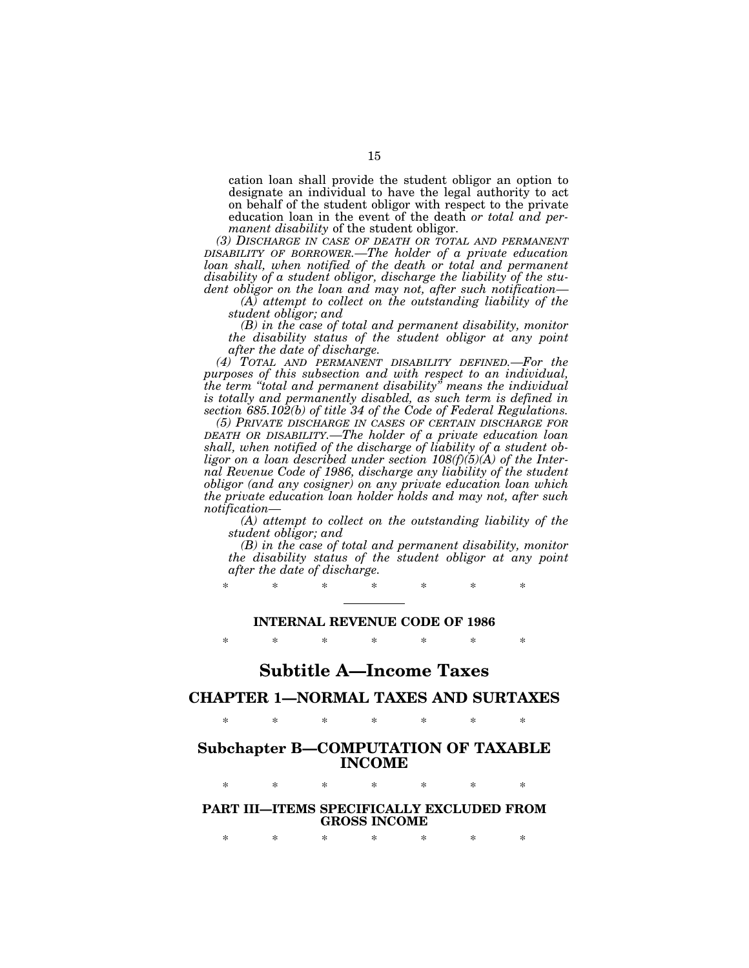cation loan shall provide the student obligor an option to designate an individual to have the legal authority to act on behalf of the student obligor with respect to the private education loan in the event of the death *or total and permanent disability* of the student obligor.

*(3) DISCHARGE IN CASE OF DEATH OR TOTAL AND PERMANENT DISABILITY OF BORROWER.—The holder of a private education loan shall, when notified of the death or total and permanent disability of a student obligor, discharge the liability of the student obligor on the loan and may not, after such notification—* 

*(A) attempt to collect on the outstanding liability of the student obligor; and* 

*(B) in the case of total and permanent disability, monitor the disability status of the student obligor at any point after the date of discharge.* 

*(4) TOTAL AND PERMANENT DISABILITY DEFINED.—For the purposes of this subsection and with respect to an individual, the term ''total and permanent disability'' means the individual is totally and permanently disabled, as such term is defined in section 685.102(b) of title 34 of the Code of Federal Regulations.* 

*(5) PRIVATE DISCHARGE IN CASES OF CERTAIN DISCHARGE FOR DEATH OR DISABILITY.—The holder of a private education loan shall, when notified of the discharge of liability of a student obligor on a loan described under section 108(f)(5)(A) of the Internal Revenue Code of 1986, discharge any liability of the student obligor (and any cosigner) on any private education loan which the private education loan holder holds and may not, after such notification—* 

*(A) attempt to collect on the outstanding liability of the student obligor; and* 

*(B) in the case of total and permanent disability, monitor the disability status of the student obligor at any point after the date of discharge.* 

\* \* \* \* \* \* \*

#### **INTERNAL REVENUE CODE OF 1986**

\* \* \* \* \* \* \*

# **Subtitle A—Income Taxes**

## **CHAPTER 1—NORMAL TAXES AND SURTAXES**

\* \* \* \* \* \* \*

# **Subchapter B—COMPUTATION OF TAXABLE INCOME**

\* \* \* \* \* \* \* **PART III—ITEMS SPECIFICALLY EXCLUDED FROM** 

# **GROSS INCOME**

\* \* \* \* \* \* \*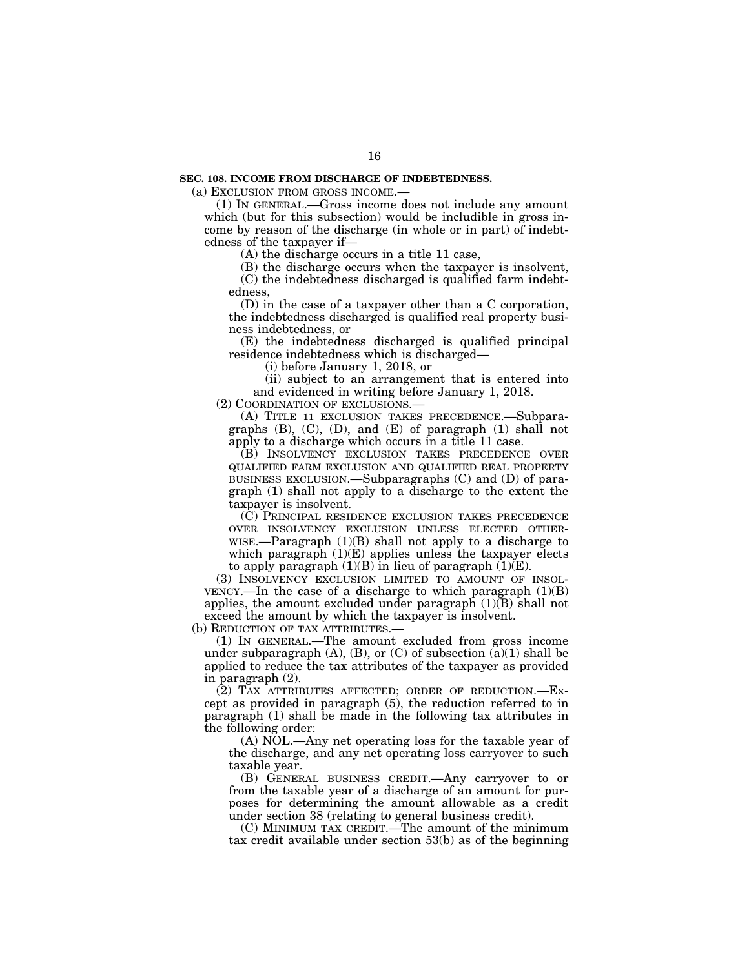## **SEC. 108. INCOME FROM DISCHARGE OF INDEBTEDNESS.**

(a) EXCLUSION FROM GROSS INCOME.—

(1) IN GENERAL.—Gross income does not include any amount which (but for this subsection) would be includible in gross income by reason of the discharge (in whole or in part) of indebtedness of the taxpayer if—

(A) the discharge occurs in a title 11 case,

(B) the discharge occurs when the taxpayer is insolvent, (C) the indebtedness discharged is qualified farm indebtedness,

(D) in the case of a taxpayer other than a C corporation, the indebtedness discharged is qualified real property business indebtedness, or

(E) the indebtedness discharged is qualified principal residence indebtedness which is discharged—

(i) before January 1, 2018, or

(ii) subject to an arrangement that is entered into and evidenced in writing before January 1, 2018.

(2) COORDINATION OF EXCLUSIONS.—

(A) TITLE 11 EXCLUSION TAKES PRECEDENCE.—Subparagraphs (B), (C), (D), and (E) of paragraph (1) shall not apply to a discharge which occurs in a title 11 case.

(B) INSOLVENCY EXCLUSION TAKES PRECEDENCE OVER QUALIFIED FARM EXCLUSION AND QUALIFIED REAL PROPERTY BUSINESS EXCLUSION.—Subparagraphs (C) and (D) of paragraph (1) shall not apply to a discharge to the extent the taxpayer is insolvent.

(C) PRINCIPAL RESIDENCE EXCLUSION TAKES PRECEDENCE OVER INSOLVENCY EXCLUSION UNLESS ELECTED OTHER-WISE.—Paragraph  $(1)(B)$  shall not apply to a discharge to which paragraph  $(1)(E)$  applies unless the taxpayer elects to apply paragraph  $(1)(B)$  in lieu of paragraph  $(1)(E)$ .

(3) INSOLVENCY EXCLUSION LIMITED TO AMOUNT OF INSOL-VENCY.—In the case of a discharge to which paragraph  $(1)(B)$ applies, the amount excluded under paragraph  $(1)(B)$  shall not exceed the amount by which the taxpayer is insolvent.

(b) REDUCTION OF TAX ATTRIBUTES.—

(1) IN GENERAL.—The amount excluded from gross income under subparagraph  $(A)$ ,  $(B)$ , or  $(C)$  of subsection  $(a)(1)$  shall be applied to reduce the tax attributes of the taxpayer as provided in paragraph (2).

(2) TAX ATTRIBUTES AFFECTED; ORDER OF REDUCTION.—Except as provided in paragraph (5), the reduction referred to in paragraph (1) shall be made in the following tax attributes in the following order:

(A) NOL.—Any net operating loss for the taxable year of the discharge, and any net operating loss carryover to such taxable year.

(B) GENERAL BUSINESS CREDIT.—Any carryover to or from the taxable year of a discharge of an amount for purposes for determining the amount allowable as a credit under section 38 (relating to general business credit).

(C) MINIMUM TAX CREDIT.—The amount of the minimum tax credit available under section 53(b) as of the beginning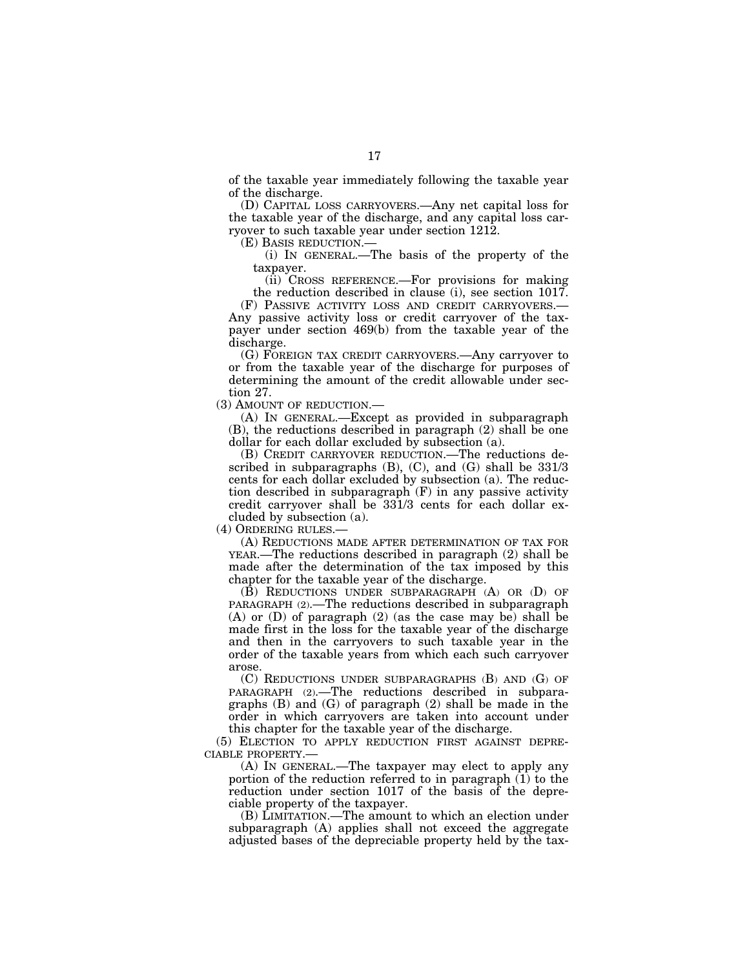of the taxable year immediately following the taxable year of the discharge.

(D) CAPITAL LOSS CARRYOVERS.—Any net capital loss for the taxable year of the discharge, and any capital loss carryover to such taxable year under section 1212.

(E) BASIS REDUCTION.—

(i) IN GENERAL.—The basis of the property of the taxpayer.

(ii) CROSS REFERENCE.—For provisions for making the reduction described in clause (i), see section 1017.

(F) PASSIVE ACTIVITY LOSS AND CREDIT CARRYOVERS.— Any passive activity loss or credit carryover of the taxpayer under section 469(b) from the taxable year of the discharge.

(G) FOREIGN TAX CREDIT CARRYOVERS.—Any carryover to or from the taxable year of the discharge for purposes of determining the amount of the credit allowable under section 27.

(3) AMOUNT OF REDUCTION.—

(A) IN GENERAL.—Except as provided in subparagraph (B), the reductions described in paragraph (2) shall be one dollar for each dollar excluded by subsection (a).

(B) CREDIT CARRYOVER REDUCTION.—The reductions described in subparagraphs  $(B)$ ,  $(C)$ , and  $(G)$  shall be 331/3 cents for each dollar excluded by subsection (a). The reduction described in subparagraph (F) in any passive activity credit carryover shall be 331/3 cents for each dollar excluded by subsection (a).

(4) ORDERING RULES.—

(A) REDUCTIONS MADE AFTER DETERMINATION OF TAX FOR YEAR.—The reductions described in paragraph (2) shall be made after the determination of the tax imposed by this chapter for the taxable year of the discharge.

(B) REDUCTIONS UNDER SUBPARAGRAPH (A) OR (D) OF PARAGRAPH (2).—The reductions described in subparagraph (A) or (D) of paragraph (2) (as the case may be) shall be made first in the loss for the taxable year of the discharge and then in the carryovers to such taxable year in the order of the taxable years from which each such carryover arose.

(C) REDUCTIONS UNDER SUBPARAGRAPHS (B) AND (G) OF PARAGRAPH (2).—The reductions described in subparagraphs (B) and (G) of paragraph (2) shall be made in the order in which carryovers are taken into account under this chapter for the taxable year of the discharge.

(5) ELECTION TO APPLY REDUCTION FIRST AGAINST DEPRE-CIABLE PROPERTY.—

(A) IN GENERAL.—The taxpayer may elect to apply any portion of the reduction referred to in paragraph (1) to the reduction under section 1017 of the basis of the depreciable property of the taxpayer.

(B) LIMITATION.—The amount to which an election under subparagraph (A) applies shall not exceed the aggregate adjusted bases of the depreciable property held by the tax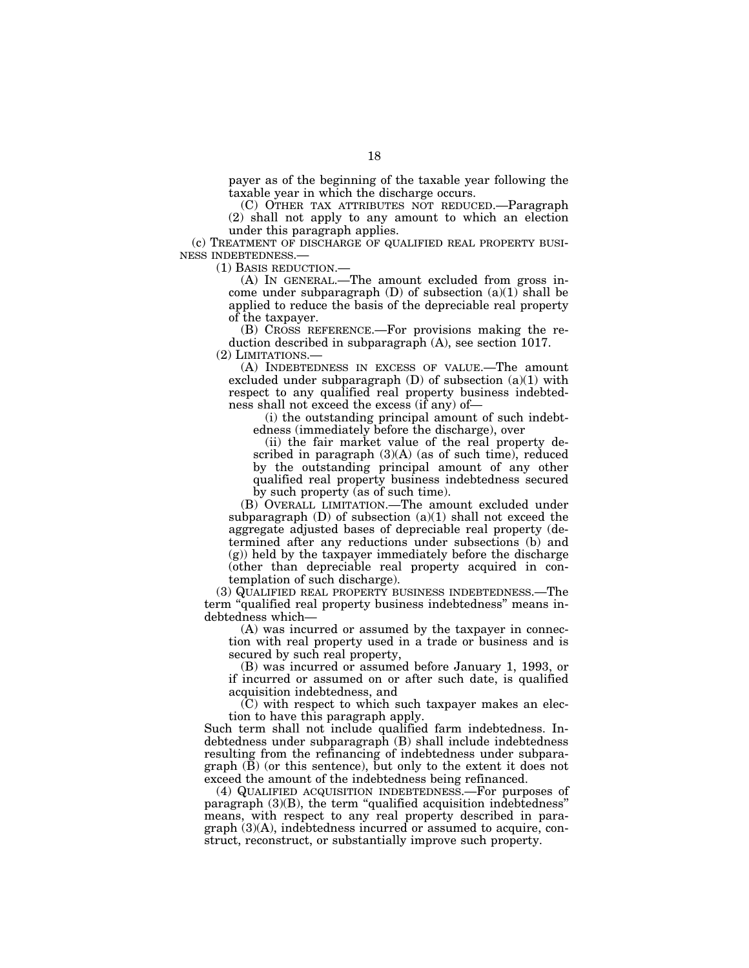payer as of the beginning of the taxable year following the taxable year in which the discharge occurs.

(C) OTHER TAX ATTRIBUTES NOT REDUCED.—Paragraph (2) shall not apply to any amount to which an election under this paragraph applies.

(c) TREATMENT OF DISCHARGE OF QUALIFIED REAL PROPERTY BUSI-NESS INDEBTEDNESS.—

(1) BASIS REDUCTION.—

(A) IN GENERAL.—The amount excluded from gross income under subparagraph  $(D)$  of subsection  $(a)(1)$  shall be applied to reduce the basis of the depreciable real property of the taxpayer.

(B) CROSS REFERENCE.—For provisions making the reduction described in subparagraph (A), see section 1017.

(2) LIMITATIONS.—

(A) INDEBTEDNESS IN EXCESS OF VALUE.—The amount excluded under subparagraph  $(D)$  of subsection  $(a)(1)$  with respect to any qualified real property business indebtedness shall not exceed the excess (if any) of—

(i) the outstanding principal amount of such indebtedness (immediately before the discharge), over

(ii) the fair market value of the real property described in paragraph  $(3)(A)$  (as of such time), reduced by the outstanding principal amount of any other qualified real property business indebtedness secured by such property (as of such time).

(B) OVERALL LIMITATION.—The amount excluded under subparagraph  $(D)$  of subsection  $(a)(1)$  shall not exceed the aggregate adjusted bases of depreciable real property (determined after any reductions under subsections (b) and (g)) held by the taxpayer immediately before the discharge (other than depreciable real property acquired in contemplation of such discharge).

(3) QUALIFIED REAL PROPERTY BUSINESS INDEBTEDNESS.—The term ''qualified real property business indebtedness'' means indebtedness which—

(A) was incurred or assumed by the taxpayer in connection with real property used in a trade or business and is secured by such real property,

(B) was incurred or assumed before January 1, 1993, or if incurred or assumed on or after such date, is qualified acquisition indebtedness, and

 $(C)$  with respect to which such taxpayer makes an election to have this paragraph apply.

Such term shall not include qualified farm indebtedness. Indebtedness under subparagraph (B) shall include indebtedness resulting from the refinancing of indebtedness under subparagraph  $(\overline{B})$  (or this sentence), but only to the extent it does not exceed the amount of the indebtedness being refinanced.

(4) QUALIFIED ACQUISITION INDEBTEDNESS.—For purposes of paragraph (3)(B), the term ''qualified acquisition indebtedness'' means, with respect to any real property described in paragraph (3)(A), indebtedness incurred or assumed to acquire, construct, reconstruct, or substantially improve such property.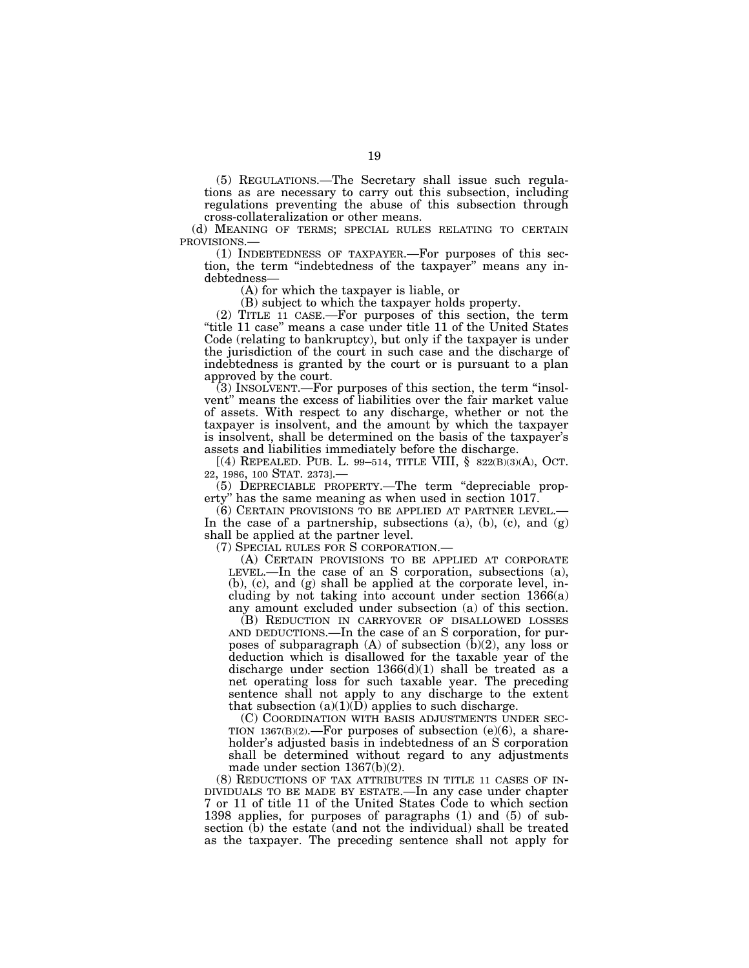(5) REGULATIONS.—The Secretary shall issue such regulations as are necessary to carry out this subsection, including regulations preventing the abuse of this subsection through cross-collateralization or other means.

(d) MEANING OF TERMS; SPECIAL RULES RELATING TO CERTAIN PROVISIONS.—

 $(1)$  INDEBTEDNESS OF TAXPAYER.—For purposes of this section, the term ''indebtedness of the taxpayer'' means any indebtedness—

(A) for which the taxpayer is liable, or

(B) subject to which the taxpayer holds property.

(2) TITLE 11 CASE.—For purposes of this section, the term ''title 11 case'' means a case under title 11 of the United States Code (relating to bankruptcy), but only if the taxpayer is under the jurisdiction of the court in such case and the discharge of indebtedness is granted by the court or is pursuant to a plan approved by the court.

(3) INSOLVENT.—For purposes of this section, the term ''insolvent'' means the excess of liabilities over the fair market value of assets. With respect to any discharge, whether or not the taxpayer is insolvent, and the amount by which the taxpayer is insolvent, shall be determined on the basis of the taxpayer's assets and liabilities immediately before the discharge.

[(4) REPEALED. PUB. L. 99–514, TITLE VIII, § 822(B)(3)(A), OCT.<br>22, 1986, 100 STAT. 2373].—<br>(5) DEPRECIABLE PROPERTY.—The term "depreciable prop-

erty" has the same meaning as when used in section 1017.<br>(6) CERTAIN PROVISIONS TO BE APPLIED AT PARTNER LEVEL.—

In the case of a partnership, subsections (a), (b), (c), and (g) shall be applied at the partner level.

(7) SPECIAL RULES FOR S CORPORATION.— (A) CERTAIN PROVISIONS TO BE APPLIED AT CORPORATE LEVEL.—In the case of an S corporation, subsections (a), (b), (c), and (g) shall be applied at the corporate level, including by not taking into account under section 1366(a) any amount excluded under subsection (a) of this section.

(B) REDUCTION IN CARRYOVER OF DISALLOWED LOSSES AND DEDUCTIONS.—In the case of an S corporation, for purposes of subparagraph  $(A)$  of subsection  $(b)(2)$ , any loss or deduction which is disallowed for the taxable year of the discharge under section  $1366(d)(1)$  shall be treated as a net operating loss for such taxable year. The preceding sentence shall not apply to any discharge to the extent that subsection  $(a)(1)(D)$  applies to such discharge.

(C) COORDINATION WITH BASIS ADJUSTMENTS UNDER SEC-TION 1367(B)(2).—For purposes of subsection (e)(6), a shareholder's adjusted basis in indebtedness of an S corporation shall be determined without regard to any adjustments made under section 1367(b)(2).

(8) REDUCTIONS OF TAX ATTRIBUTES IN TITLE 11 CASES OF IN- DIVIDUALS TO BE MADE BY ESTATE.—In any case under chapter 7 or 11 of title 11 of the United States Code to which section 1398 applies, for purposes of paragraphs (1) and (5) of subsection (b) the estate (and not the individual) shall be treated as the taxpayer. The preceding sentence shall not apply for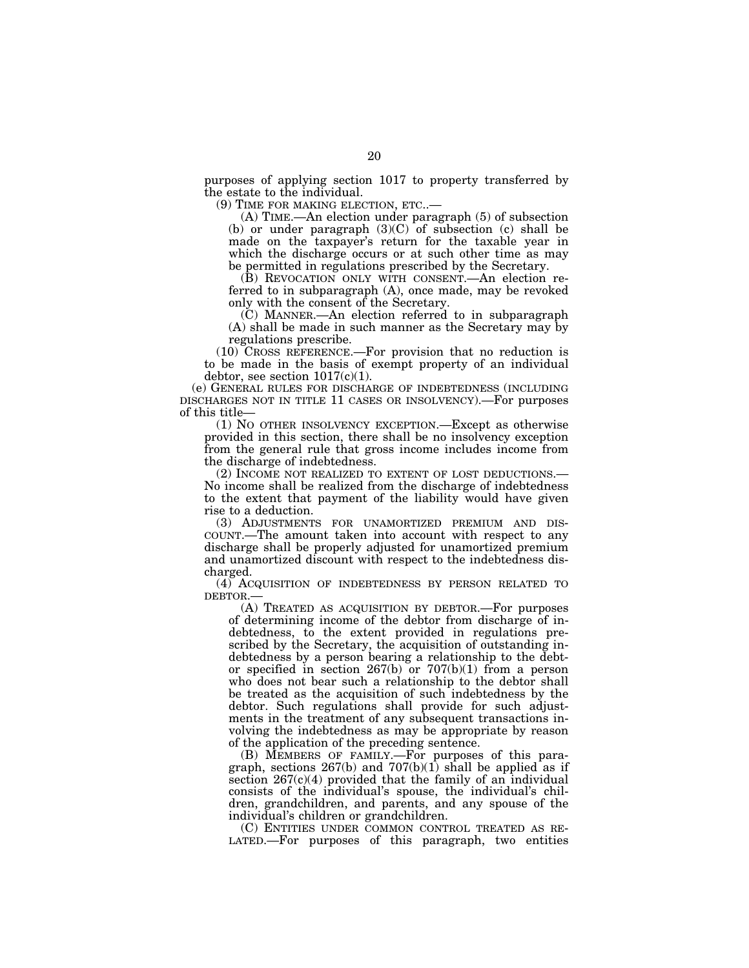purposes of applying section 1017 to property transferred by the estate to the individual.

(9) TIME FOR MAKING ELECTION, ETC..— (A) TIME.—An election under paragraph (5) of subsection (b) or under paragraph  $(3)(C)$  of subsection (c) shall be made on the taxpayer's return for the taxable year in which the discharge occurs or at such other time as may be permitted in regulations prescribed by the Secretary.

(B) REVOCATION ONLY WITH CONSENT.—An election referred to in subparagraph (A), once made, may be revoked only with the consent of the Secretary.

(C) MANNER.—An election referred to in subparagraph (A) shall be made in such manner as the Secretary may by regulations prescribe.

(10) CROSS REFERENCE.—For provision that no reduction is to be made in the basis of exempt property of an individual debtor, see section  $1017(c)(1)$ .

(e) GENERAL RULES FOR DISCHARGE OF INDEBTEDNESS (INCLUDING DISCHARGES NOT IN TITLE 11 CASES OR INSOLVENCY).—For purposes of this title—

(1) NO OTHER INSOLVENCY EXCEPTION.—Except as otherwise provided in this section, there shall be no insolvency exception from the general rule that gross income includes income from the discharge of indebtedness.

(2) INCOME NOT REALIZED TO EXTENT OF LOST DEDUCTIONS.— No income shall be realized from the discharge of indebtedness to the extent that payment of the liability would have given rise to a deduction.

(3) ADJUSTMENTS FOR UNAMORTIZED PREMIUM AND DIS-COUNT.—The amount taken into account with respect to any discharge shall be properly adjusted for unamortized premium and unamortized discount with respect to the indebtedness discharged.

(4) ACQUISITION OF INDEBTEDNESS BY PERSON RELATED TO DEBTOR.

(A) TREATED AS ACQUISITION BY DEBTOR.—For purposes of determining income of the debtor from discharge of indebtedness, to the extent provided in regulations prescribed by the Secretary, the acquisition of outstanding indebtedness by a person bearing a relationship to the debtor specified in section 267(b) or 707(b)(1) from a person who does not bear such a relationship to the debtor shall be treated as the acquisition of such indebtedness by the debtor. Such regulations shall provide for such adjustments in the treatment of any subsequent transactions involving the indebtedness as may be appropriate by reason of the application of the preceding sentence.

(B) MEMBERS OF FAMILY.—For purposes of this paragraph, sections  $267(b)$  and  $707(b)(1)$  shall be applied as if section  $267(c)(4)$  provided that the family of an individual consists of the individual's spouse, the individual's children, grandchildren, and parents, and any spouse of the individual's children or grandchildren.

(C) ENTITIES UNDER COMMON CONTROL TREATED AS RE-LATED.—For purposes of this paragraph, two entities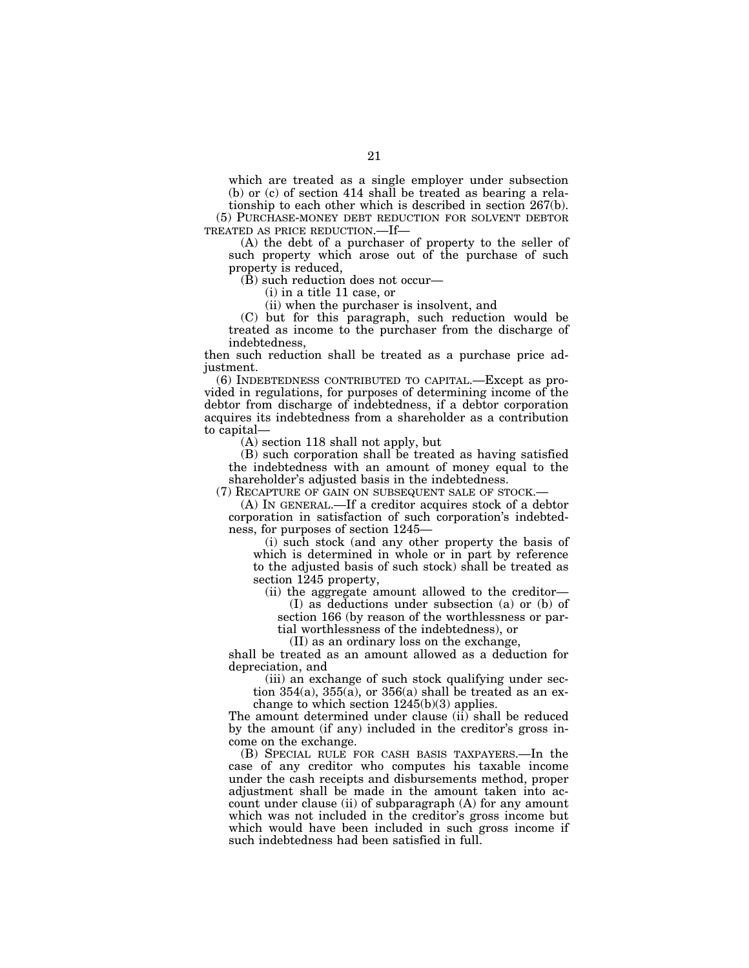which are treated as a single employer under subsection (b) or (c) of section 414 shall be treated as bearing a rela-

tionship to each other which is described in section 267(b). (5) PURCHASE-MONEY DEBT REDUCTION FOR SOLVENT DEBTOR TREATED AS PRICE REDUCTION.—If—

(A) the debt of a purchaser of property to the seller of such property which arose out of the purchase of such property is reduced,

(B) such reduction does not occur—

(i) in a title 11 case, or

(ii) when the purchaser is insolvent, and

(C) but for this paragraph, such reduction would be treated as income to the purchaser from the discharge of indebtedness,

then such reduction shall be treated as a purchase price adjustment.

(6) INDEBTEDNESS CONTRIBUTED TO CAPITAL.—Except as provided in regulations, for purposes of determining income of the debtor from discharge of indebtedness, if a debtor corporation acquires its indebtedness from a shareholder as a contribution to capital—

(A) section 118 shall not apply, but

(B) such corporation shall be treated as having satisfied the indebtedness with an amount of money equal to the shareholder's adjusted basis in the indebtedness.

(7) RECAPTURE OF GAIN ON SUBSEQUENT SALE OF STOCK.—

(A) IN GENERAL.—If a creditor acquires stock of a debtor corporation in satisfaction of such corporation's indebtedness, for purposes of section 1245—

(i) such stock (and any other property the basis of which is determined in whole or in part by reference to the adjusted basis of such stock) shall be treated as section 1245 property,

(ii) the aggregate amount allowed to the creditor— (I) as deductions under subsection (a) or (b) of section 166 (by reason of the worthlessness or par-

tial worthlessness of the indebtedness), or

(II) as an ordinary loss on the exchange,

shall be treated as an amount allowed as a deduction for depreciation, and

(iii) an exchange of such stock qualifying under section 354(a), 355(a), or 356(a) shall be treated as an exchange to which section 1245(b)(3) applies.

The amount determined under clause (ii) shall be reduced by the amount (if any) included in the creditor's gross income on the exchange.

(B) SPECIAL RULE FOR CASH BASIS TAXPAYERS.—In the case of any creditor who computes his taxable income under the cash receipts and disbursements method, proper adjustment shall be made in the amount taken into account under clause (ii) of subparagraph (A) for any amount which was not included in the creditor's gross income but which would have been included in such gross income if such indebtedness had been satisfied in full.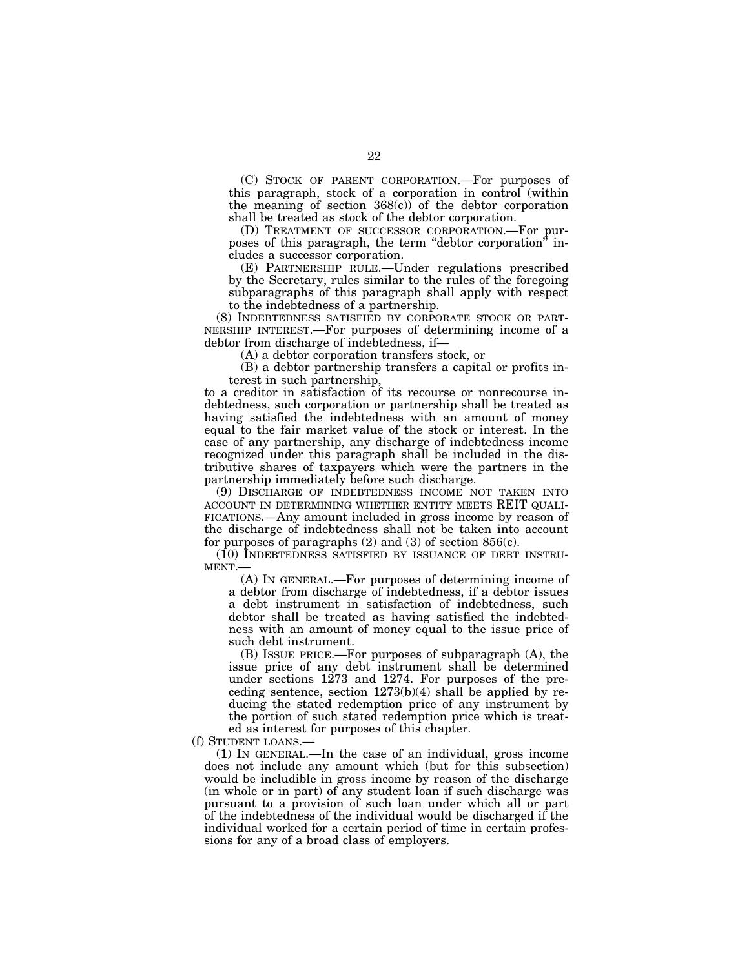(C) STOCK OF PARENT CORPORATION.—For purposes of this paragraph, stock of a corporation in control (within the meaning of section  $368(c)$  of the debtor corporation shall be treated as stock of the debtor corporation.

(D) TREATMENT OF SUCCESSOR CORPORATION.—For purposes of this paragraph, the term "debtor corporation" includes a successor corporation.

(E) PARTNERSHIP RULE.—Under regulations prescribed by the Secretary, rules similar to the rules of the foregoing subparagraphs of this paragraph shall apply with respect to the indebtedness of a partnership.

(8) INDEBTEDNESS SATISFIED BY CORPORATE STOCK OR PART-NERSHIP INTEREST.—For purposes of determining income of a debtor from discharge of indebtedness, if—

(A) a debtor corporation transfers stock, or

(B) a debtor partnership transfers a capital or profits interest in such partnership,

to a creditor in satisfaction of its recourse or nonrecourse indebtedness, such corporation or partnership shall be treated as having satisfied the indebtedness with an amount of money equal to the fair market value of the stock or interest. In the case of any partnership, any discharge of indebtedness income recognized under this paragraph shall be included in the distributive shares of taxpayers which were the partners in the partnership immediately before such discharge.

(9) DISCHARGE OF INDEBTEDNESS INCOME NOT TAKEN INTO ACCOUNT IN DETERMINING WHETHER ENTITY MEETS REIT QUALI-FICATIONS.—Any amount included in gross income by reason of the discharge of indebtedness shall not be taken into account for purposes of paragraphs (2) and (3) of section 856(c).

(10) INDEBTEDNESS SATISFIED BY ISSUANCE OF DEBT INSTRU-MENT.—

(A) IN GENERAL.—For purposes of determining income of a debtor from discharge of indebtedness, if a debtor issues a debt instrument in satisfaction of indebtedness, such debtor shall be treated as having satisfied the indebtedness with an amount of money equal to the issue price of such debt instrument.

(B) ISSUE PRICE.—For purposes of subparagraph (A), the issue price of any debt instrument shall be determined under sections 1273 and 1274. For purposes of the preceding sentence, section  $1273(b)(4)$  shall be applied by reducing the stated redemption price of any instrument by the portion of such stated redemption price which is treated as interest for purposes of this chapter.

(f) STUDENT LOANS.—

(1) IN GENERAL.—In the case of an individual, gross income does not include any amount which (but for this subsection) would be includible in gross income by reason of the discharge (in whole or in part) of any student loan if such discharge was pursuant to a provision of such loan under which all or part of the indebtedness of the individual would be discharged if the individual worked for a certain period of time in certain professions for any of a broad class of employers.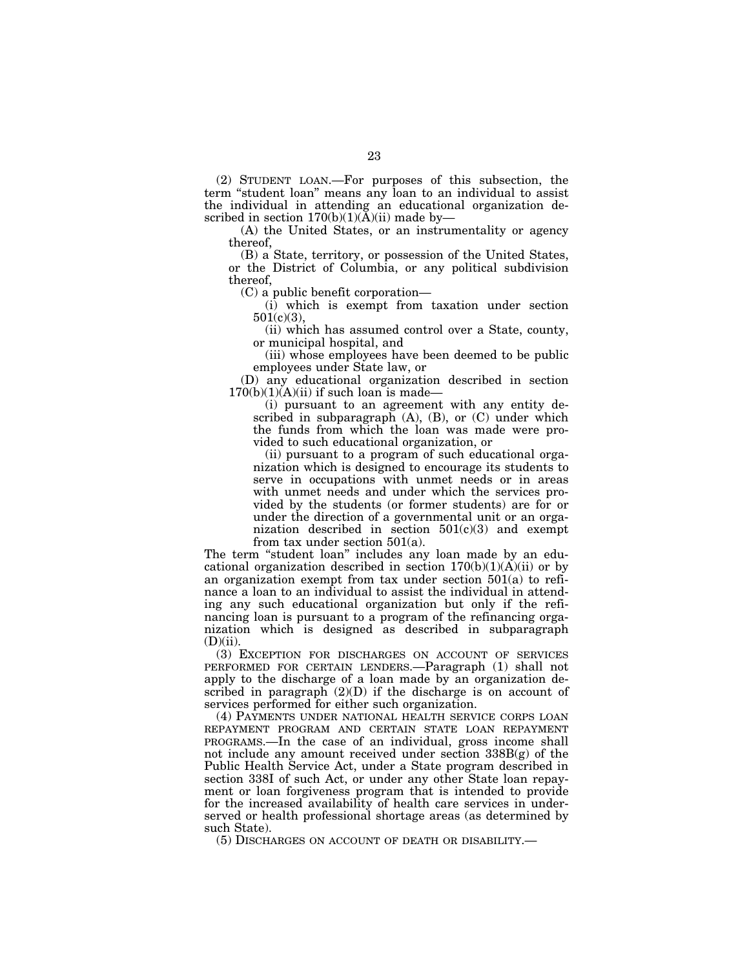(2) STUDENT LOAN.—For purposes of this subsection, the term "student loan" means any loan to an individual to assist the individual in attending an educational organization described in section  $170(b)(1)(\text{\AA})(\text{ii})$  made by-

(A) the United States, or an instrumentality or agency thereof,

(B) a State, territory, or possession of the United States, or the District of Columbia, or any political subdivision thereof,

(C) a public benefit corporation—

(i) which is exempt from taxation under section 501(c)(3),

(ii) which has assumed control over a State, county, or municipal hospital, and

(iii) whose employees have been deemed to be public employees under State law, or

(D) any educational organization described in section  $170(b)(1)(A)(ii)$  if such loan is made-

(i) pursuant to an agreement with any entity described in subparagraph  $(A)$ ,  $(B)$ , or  $(C)$  under which the funds from which the loan was made were provided to such educational organization, or

(ii) pursuant to a program of such educational organization which is designed to encourage its students to serve in occupations with unmet needs or in areas with unmet needs and under which the services provided by the students (or former students) are for or under the direction of a governmental unit or an organization described in section  $501(c)(3)$  and exempt from tax under section 501(a).

The term "student loan" includes any loan made by an educational organization described in section  $170(b)(1)(A)(ii)$  or by an organization exempt from tax under section 501(a) to refinance a loan to an individual to assist the individual in attending any such educational organization but only if the refinancing loan is pursuant to a program of the refinancing organization which is designed as described in subparagraph  $(D)(ii)$ .

(3) EXCEPTION FOR DISCHARGES ON ACCOUNT OF SERVICES PERFORMED FOR CERTAIN LENDERS.—Paragraph (1) shall not apply to the discharge of a loan made by an organization described in paragraph (2)(D) if the discharge is on account of services performed for either such organization.

(4) PAYMENTS UNDER NATIONAL HEALTH SERVICE CORPS LOAN REPAYMENT PROGRAM AND CERTAIN STATE LOAN REPAYMENT PROGRAMS.—In the case of an individual, gross income shall not include any amount received under section 338B(g) of the Public Health Service Act, under a State program described in section 338I of such Act, or under any other State loan repayment or loan forgiveness program that is intended to provide for the increased availability of health care services in underserved or health professional shortage areas (as determined by such State).

(5) DISCHARGES ON ACCOUNT OF DEATH OR DISABILITY.—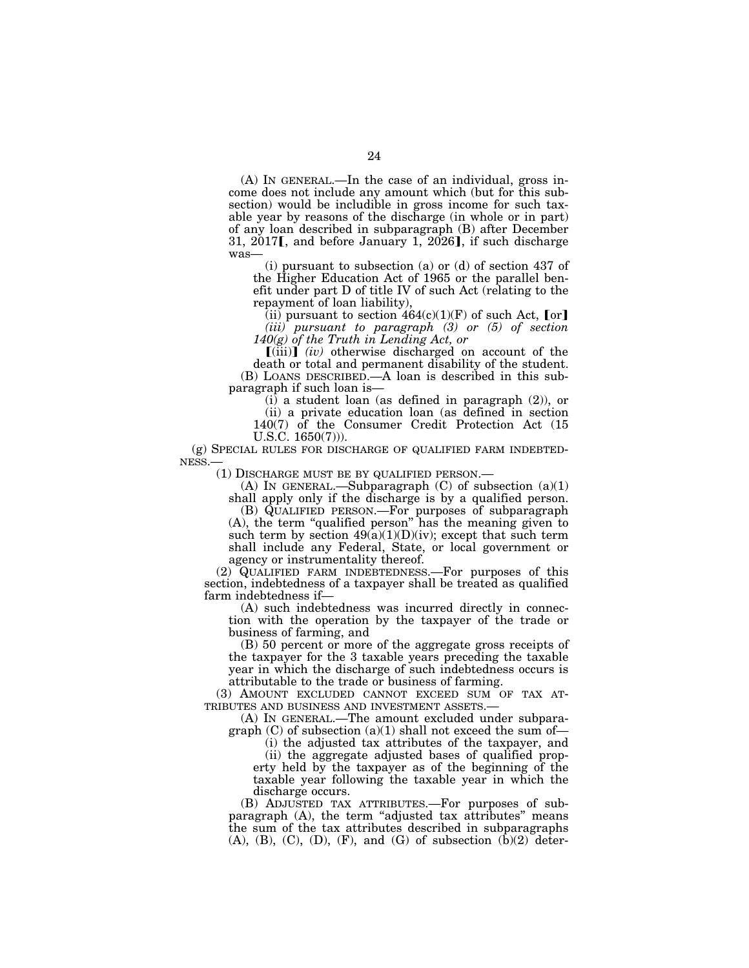(A) IN GENERAL.—In the case of an individual, gross income does not include any amount which (but for this subsection) would be includible in gross income for such taxable year by reasons of the discharge (in whole or in part) of any loan described in subparagraph (B) after December 31,  $2017$ , and before January 1,  $2026$ , if such discharge was—

(i) pursuant to subsection (a) or (d) of section 437 of the Higher Education Act of 1965 or the parallel benefit under part D of title IV of such Act (relating to the repayment of loan liability),

(ii) pursuant to section  $464(c)(1)(F)$  of such Act, [or] *(iii) pursuant to paragraph (3) or (5) of section 140(g) of the Truth in Lending Act, or* 

 $\lceil$ (iii) $\rceil$  (iv) otherwise discharged on account of the death or total and permanent disability of the student. (B) LOANS DESCRIBED.—A loan is described in this subparagraph if such loan is—

(i) a student loan (as defined in paragraph (2)), or

(ii) a private education loan (as defined in section 140(7) of the Consumer Credit Protection Act (15 U.S.C. 1650(7))).

(g) SPECIAL RULES FOR DISCHARGE OF QUALIFIED FARM INDEBTED-NESS.—

(1) DISCHARGE MUST BE BY QUALIFIED PERSON.—<br>(A) IN GENERAL.—Subparagraph (C) of subsection  $(a)(1)$ shall apply only if the discharge is by a qualified person.

(B) QUALIFIED PERSON.—For purposes of subparagraph (A), the term ''qualified person'' has the meaning given to such term by section  $49(a)(1)(D)(iv)$ ; except that such term shall include any Federal, State, or local government or agency or instrumentality thereof.

(2) QUALIFIED FARM INDEBTEDNESS.—For purposes of this section, indebtedness of a taxpayer shall be treated as qualified farm indebtedness if—

(A) such indebtedness was incurred directly in connection with the operation by the taxpayer of the trade or business of farming, and

(B) 50 percent or more of the aggregate gross receipts of the taxpayer for the 3 taxable years preceding the taxable year in which the discharge of such indebtedness occurs is attributable to the trade or business of farming.

(3) AMOUNT EXCLUDED CANNOT EXCEED SUM OF TAX AT-TRIBUTES AND BUSINESS AND INVESTMENT ASSETS.—

(A) IN GENERAL.—The amount excluded under subparagraph  $(C)$  of subsection  $(a)(1)$  shall not exceed the sum of-

(i) the adjusted tax attributes of the taxpayer, and

(ii) the aggregate adjusted bases of qualified property held by the taxpayer as of the beginning of the taxable year following the taxable year in which the discharge occurs.

(B) ADJUSTED TAX ATTRIBUTES.—For purposes of subparagraph (A), the term "adjusted tax attributes" means the sum of the tax attributes described in subparagraphs  $(A)$ ,  $(B)$ ,  $(C)$ ,  $(D)$ ,  $(F)$ , and  $(G)$  of subsection  $(\bar{b})(2)$  deter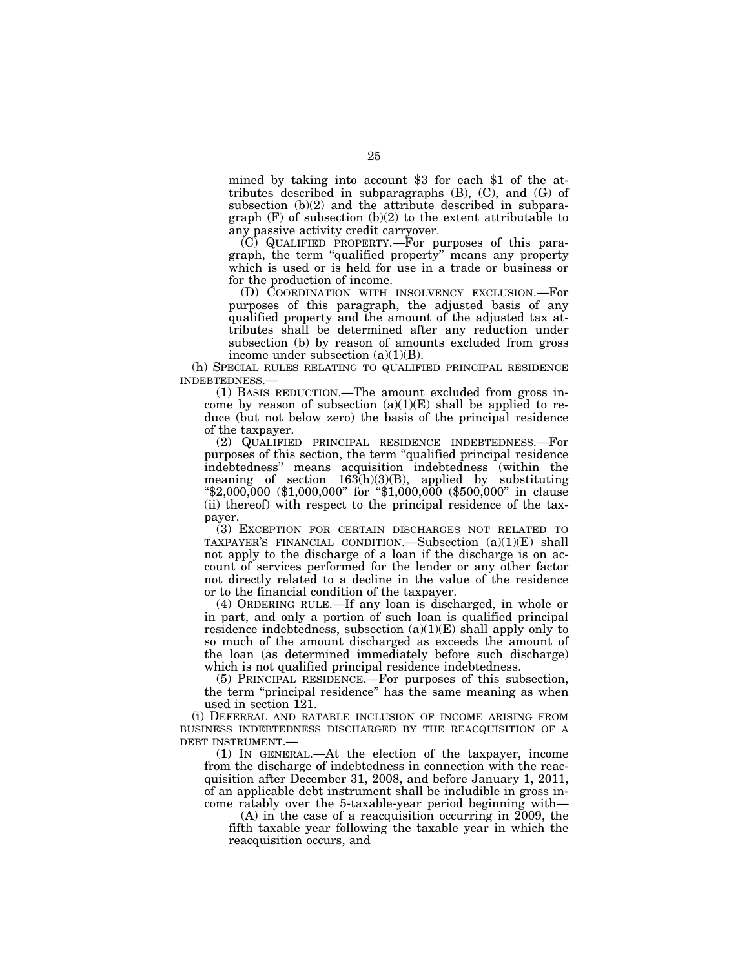mined by taking into account \$3 for each \$1 of the attributes described in subparagraphs (B), (C), and (G) of subsection (b)(2) and the attribute described in subparagraph  $(F)$  of subsection  $(b)(2)$  to the extent attributable to any passive activity credit carryover.

 $(C)$  QUALIFIED PROPERTY.—For purposes of this paragraph, the term "qualified property" means any property which is used or is held for use in a trade or business or for the production of income.

(D) COORDINATION WITH INSOLVENCY EXCLUSION.—For purposes of this paragraph, the adjusted basis of any qualified property and the amount of the adjusted tax attributes shall be determined after any reduction under subsection (b) by reason of amounts excluded from gross income under subsection  $(a)(1)(B)$ .

(h) SPECIAL RULES RELATING TO QUALIFIED PRINCIPAL RESIDENCE INDEBTEDNESS.—

(1) BASIS REDUCTION.—The amount excluded from gross income by reason of subsection  $(a)(1)(E)$  shall be applied to reduce (but not below zero) the basis of the principal residence of the taxpayer.

(2) QUALIFIED PRINCIPAL RESIDENCE INDEBTEDNESS.—For purposes of this section, the term ''qualified principal residence indebtedness'' means acquisition indebtedness (within the meaning of section  $163(h)(3)(B)$ , applied by substituting "\$2,000,000 (\$1,000,000" for "\$1,000,000 (\$500,000" in clause (ii) thereof) with respect to the principal residence of the taxpayer.

(3) EXCEPTION FOR CERTAIN DISCHARGES NOT RELATED TO TAXPAYER'S FINANCIAL CONDITION.—Subsection (a)(1)(E) shall not apply to the discharge of a loan if the discharge is on account of services performed for the lender or any other factor not directly related to a decline in the value of the residence or to the financial condition of the taxpayer.

(4) ORDERING RULE.—If any loan is discharged, in whole or in part, and only a portion of such loan is qualified principal residence indebtedness, subsection  $(a)(1)(E)$  shall apply only to so much of the amount discharged as exceeds the amount of the loan (as determined immediately before such discharge) which is not qualified principal residence indebtedness.

(5) PRINCIPAL RESIDENCE.—For purposes of this subsection, the term ''principal residence'' has the same meaning as when used in section 121.

(i) DEFERRAL AND RATABLE INCLUSION OF INCOME ARISING FROM BUSINESS INDEBTEDNESS DISCHARGED BY THE REACQUISITION OF A DEBT INSTRUMENT.—

(1) IN GENERAL.—At the election of the taxpayer, income from the discharge of indebtedness in connection with the reacquisition after December 31, 2008, and before January 1, 2011, of an applicable debt instrument shall be includible in gross income ratably over the 5-taxable-year period beginning with—

(A) in the case of a reacquisition occurring in 2009, the fifth taxable year following the taxable year in which the reacquisition occurs, and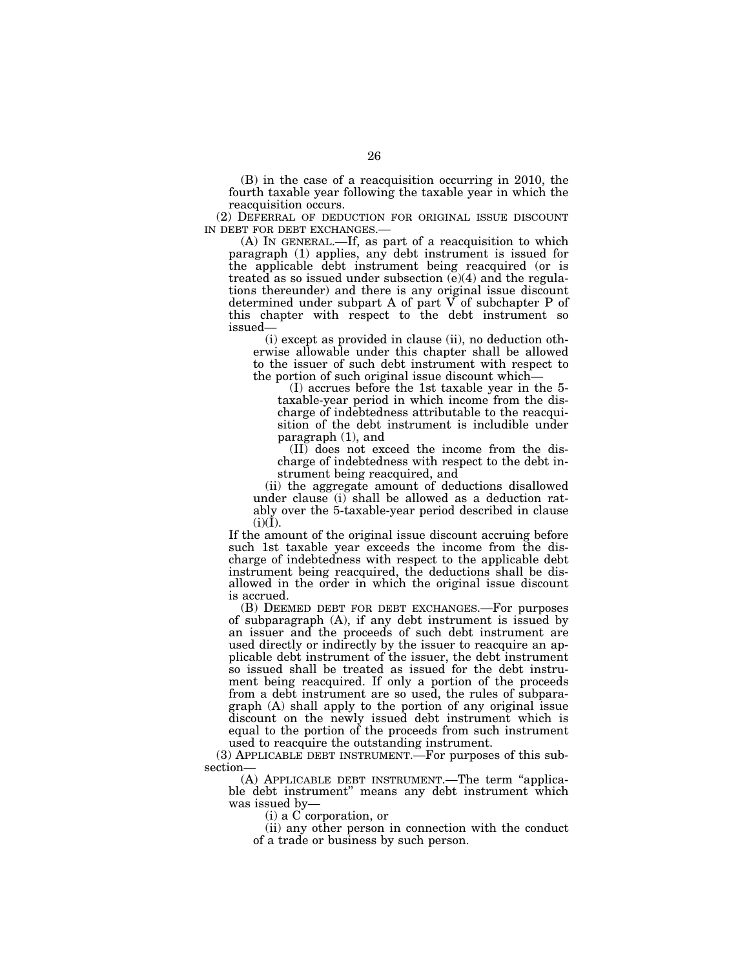(B) in the case of a reacquisition occurring in 2010, the fourth taxable year following the taxable year in which the reacquisition occurs.

(2) DEFERRAL OF DEDUCTION FOR ORIGINAL ISSUE DISCOUNT IN DEBT FOR DEBT EXCHANGES.—

 $(A)$  In GENERAL.—If, as part of a reacquisition to which paragraph (1) applies, any debt instrument is issued for the applicable debt instrument being reacquired (or is treated as so issued under subsection  $(e)(4)$  and the regulations thereunder) and there is any original issue discount determined under subpart A of part V of subchapter P of this chapter with respect to the debt instrument so issued—

(i) except as provided in clause (ii), no deduction otherwise allowable under this chapter shall be allowed to the issuer of such debt instrument with respect to the portion of such original issue discount which—

(I) accrues before the 1st taxable year in the 5 taxable-year period in which income from the discharge of indebtedness attributable to the reacquisition of the debt instrument is includible under paragraph (1), and

(II) does not exceed the income from the discharge of indebtedness with respect to the debt instrument being reacquired, and

(ii) the aggregate amount of deductions disallowed under clause (i) shall be allowed as a deduction ratably over the 5-taxable-year period described in clause  $(i)(I).$ 

If the amount of the original issue discount accruing before such 1st taxable year exceeds the income from the discharge of indebtedness with respect to the applicable debt instrument being reacquired, the deductions shall be disallowed in the order in which the original issue discount is accrued.

(B) DEEMED DEBT FOR DEBT EXCHANGES.—For purposes of subparagraph (A), if any debt instrument is issued by an issuer and the proceeds of such debt instrument are used directly or indirectly by the issuer to reacquire an applicable debt instrument of the issuer, the debt instrument so issued shall be treated as issued for the debt instrument being reacquired. If only a portion of the proceeds from a debt instrument are so used, the rules of subparagraph (A) shall apply to the portion of any original issue discount on the newly issued debt instrument which is equal to the portion of the proceeds from such instrument used to reacquire the outstanding instrument.

(3) APPLICABLE DEBT INSTRUMENT.—For purposes of this subsection—

(A) APPLICABLE DEBT INSTRUMENT.—The term ''applicable debt instrument" means any debt instrument which was issued by—

(i) a C corporation, or

(ii) any other person in connection with the conduct of a trade or business by such person.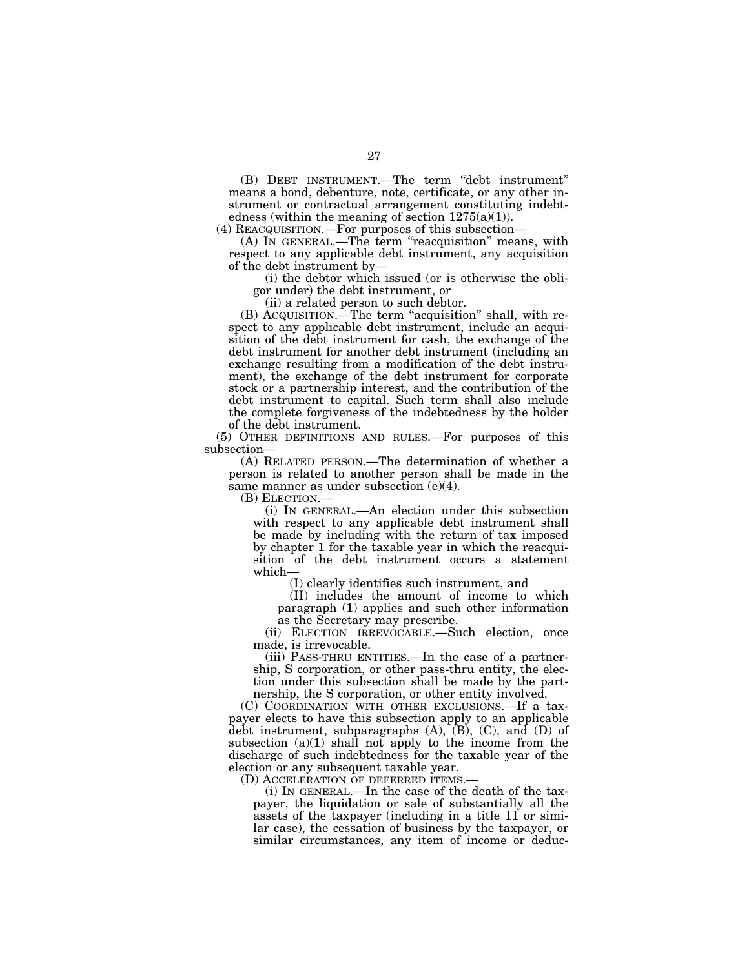(B) DEBT INSTRUMENT.—The term ''debt instrument'' means a bond, debenture, note, certificate, or any other instrument or contractual arrangement constituting indebtedness (within the meaning of section  $1275(a)(1)$ ).

(4) REACQUISITION.—For purposes of this subsection—

(A) IN GENERAL.—The term ''reacquisition'' means, with respect to any applicable debt instrument, any acquisition of the debt instrument by—

(i) the debtor which issued (or is otherwise the obligor under) the debt instrument, or

(ii) a related person to such debtor.

(B) ACQUISITION.—The term ''acquisition'' shall, with respect to any applicable debt instrument, include an acquisition of the debt instrument for cash, the exchange of the debt instrument for another debt instrument (including an exchange resulting from a modification of the debt instrument), the exchange of the debt instrument for corporate stock or a partnership interest, and the contribution of the debt instrument to capital. Such term shall also include the complete forgiveness of the indebtedness by the holder of the debt instrument.

(5) OTHER DEFINITIONS AND RULES.—For purposes of this subsection—

(A) RELATED PERSON.—The determination of whether a person is related to another person shall be made in the same manner as under subsection  $(e)(4)$ .<br>(B) ELECTION.—

(i) IN GENERAL.—An election under this subsection with respect to any applicable debt instrument shall be made by including with the return of tax imposed by chapter 1 for the taxable year in which the reacquisition of the debt instrument occurs a statement which—

(I) clearly identifies such instrument, and

(II) includes the amount of income to which paragraph (1) applies and such other information as the Secretary may prescribe.

(ii) ELECTION IRREVOCABLE.—Such election, once made, is irrevocable.

(iii) PASS-THRU ENTITIES.—In the case of a partnership, S corporation, or other pass-thru entity, the election under this subsection shall be made by the partnership, the S corporation, or other entity involved.

(C) COORDINATION WITH OTHER EXCLUSIONS.—If a taxpayer elects to have this subsection apply to an applicable debt instrument, subparagraphs  $(A)$ ,  $(B)$ ,  $(C)$ , and  $(D)$  of subsection  $(a)(1)$  shall not apply to the income from the discharge of such indebtedness for the taxable year of the election or any subsequent taxable year.

(D) ACCELERATION OF DEFERRED ITEMS.— (i) IN GENERAL.—In the case of the death of the taxpayer, the liquidation or sale of substantially all the assets of the taxpayer (including in a title 11 or similar case), the cessation of business by the taxpayer, or similar circumstances, any item of income or deduc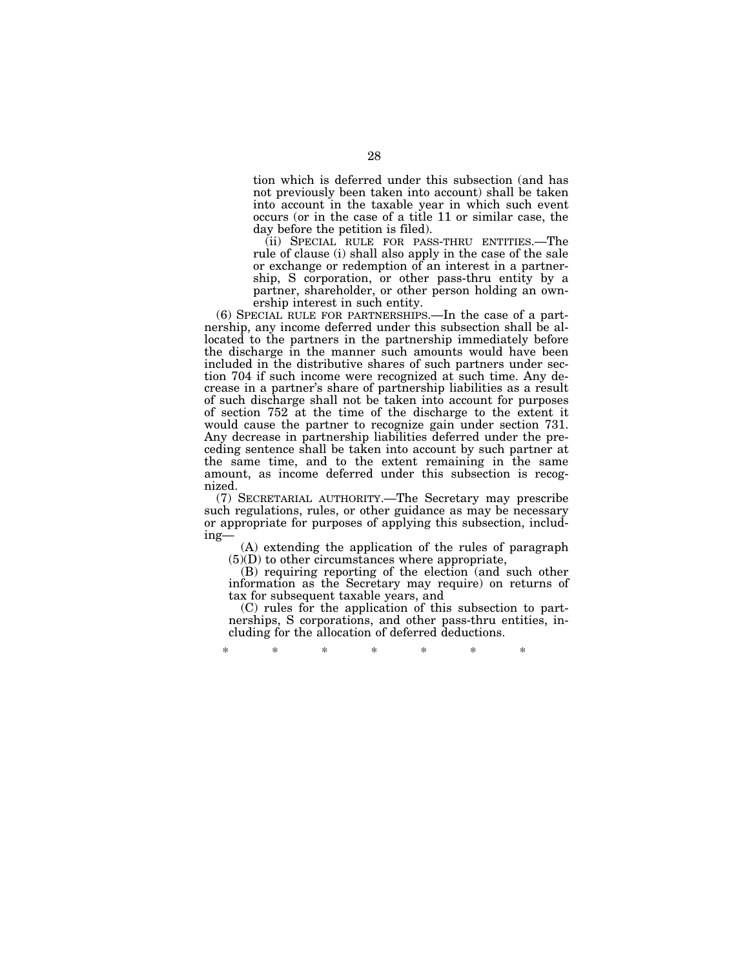tion which is deferred under this subsection (and has not previously been taken into account) shall be taken into account in the taxable year in which such event occurs (or in the case of a title 11 or similar case, the day before the petition is filed).

(ii) SPECIAL RULE FOR PASS-THRU ENTITIES.—The rule of clause (i) shall also apply in the case of the sale or exchange or redemption of an interest in a partnership, S corporation, or other pass-thru entity by a partner, shareholder, or other person holding an ownership interest in such entity.

(6) SPECIAL RULE FOR PARTNERSHIPS.—In the case of a partnership, any income deferred under this subsection shall be allocated to the partners in the partnership immediately before the discharge in the manner such amounts would have been included in the distributive shares of such partners under section 704 if such income were recognized at such time. Any decrease in a partner's share of partnership liabilities as a result of such discharge shall not be taken into account for purposes of section 752 at the time of the discharge to the extent it would cause the partner to recognize gain under section 731. Any decrease in partnership liabilities deferred under the preceding sentence shall be taken into account by such partner at the same time, and to the extent remaining in the same amount, as income deferred under this subsection is recognized.

(7) SECRETARIAL AUTHORITY.—The Secretary may prescribe such regulations, rules, or other guidance as may be necessary or appropriate for purposes of applying this subsection, including—

(A) extending the application of the rules of paragraph  $(5)(D)$  to other circumstances where appropriate,

(B) requiring reporting of the election (and such other information as the Secretary may require) on returns of tax for subsequent taxable years, and

(C) rules for the application of this subsection to partnerships, S corporations, and other pass-thru entities, including for the allocation of deferred deductions.

\* \* \* \* \* \* \*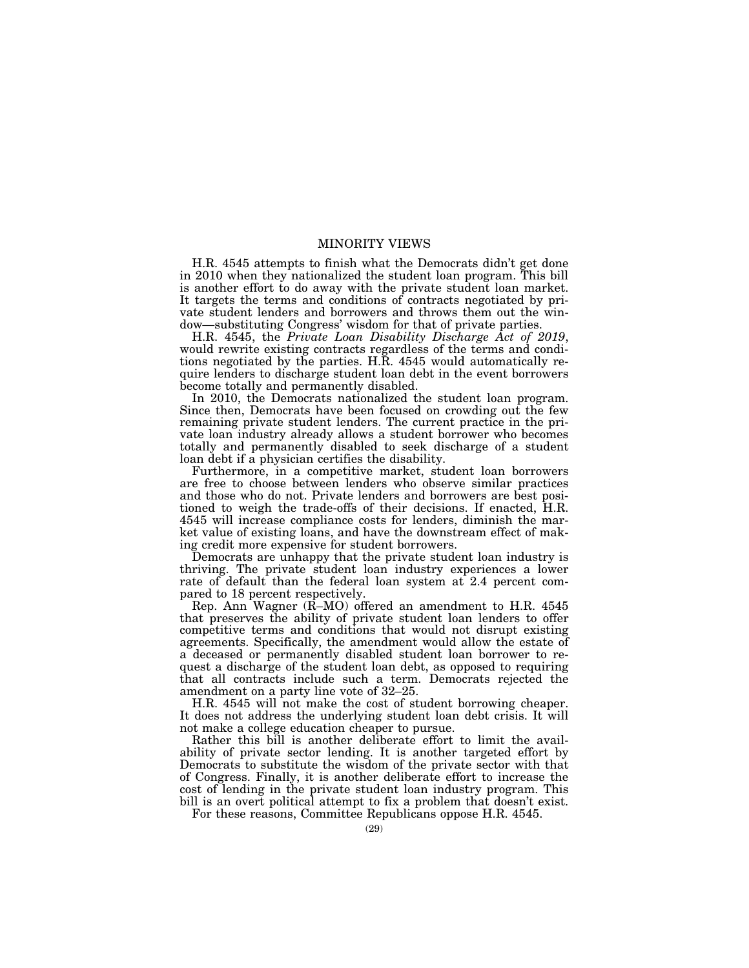## MINORITY VIEWS

H.R. 4545 attempts to finish what the Democrats didn't get done in 2010 when they nationalized the student loan program. This bill is another effort to do away with the private student loan market. It targets the terms and conditions of contracts negotiated by private student lenders and borrowers and throws them out the window—substituting Congress' wisdom for that of private parties.

H.R. 4545, the *Private Loan Disability Discharge Act of 2019*, would rewrite existing contracts regardless of the terms and conditions negotiated by the parties. H.R. 4545 would automatically require lenders to discharge student loan debt in the event borrowers become totally and permanently disabled.

In 2010, the Democrats nationalized the student loan program. Since then, Democrats have been focused on crowding out the few remaining private student lenders. The current practice in the private loan industry already allows a student borrower who becomes totally and permanently disabled to seek discharge of a student loan debt if a physician certifies the disability.

Furthermore, in a competitive market, student loan borrowers are free to choose between lenders who observe similar practices and those who do not. Private lenders and borrowers are best positioned to weigh the trade-offs of their decisions. If enacted, H.R. 4545 will increase compliance costs for lenders, diminish the market value of existing loans, and have the downstream effect of making credit more expensive for student borrowers.

Democrats are unhappy that the private student loan industry is thriving. The private student loan industry experiences a lower rate of default than the federal loan system at 2.4 percent compared to 18 percent respectively.

Rep. Ann Wagner (R–MO) offered an amendment to H.R. 4545 that preserves the ability of private student loan lenders to offer competitive terms and conditions that would not disrupt existing agreements. Specifically, the amendment would allow the estate of a deceased or permanently disabled student loan borrower to request a discharge of the student loan debt, as opposed to requiring that all contracts include such a term. Democrats rejected the amendment on a party line vote of 32–25.

H.R. 4545 will not make the cost of student borrowing cheaper. It does not address the underlying student loan debt crisis. It will not make a college education cheaper to pursue.

Rather this bill is another deliberate effort to limit the availability of private sector lending. It is another targeted effort by Democrats to substitute the wisdom of the private sector with that of Congress. Finally, it is another deliberate effort to increase the cost of lending in the private student loan industry program. This bill is an overt political attempt to fix a problem that doesn't exist.

For these reasons, Committee Republicans oppose H.R. 4545.